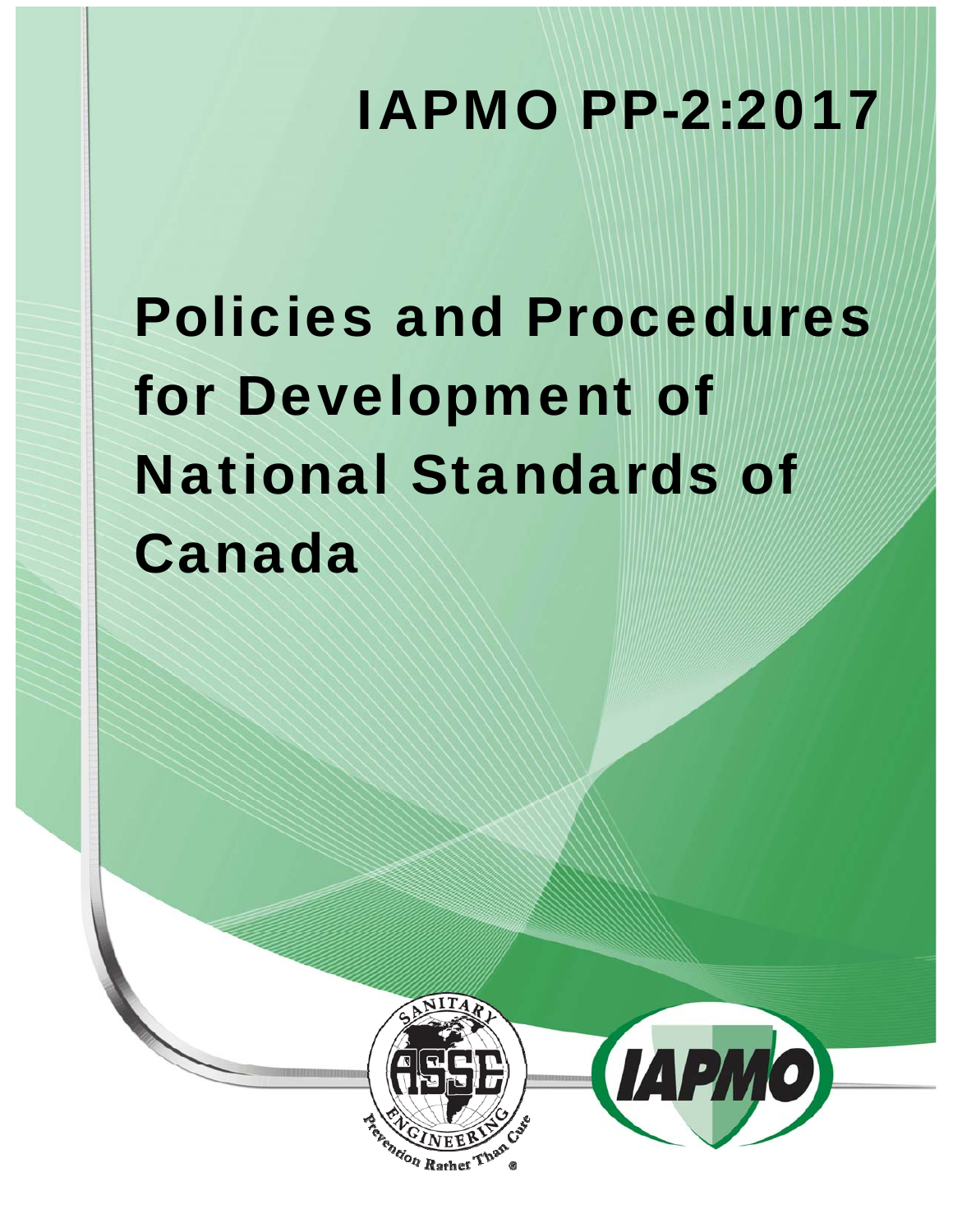# IAPMO PP-2:2017

# Policies and Procedures for Development of National Standards of Canada



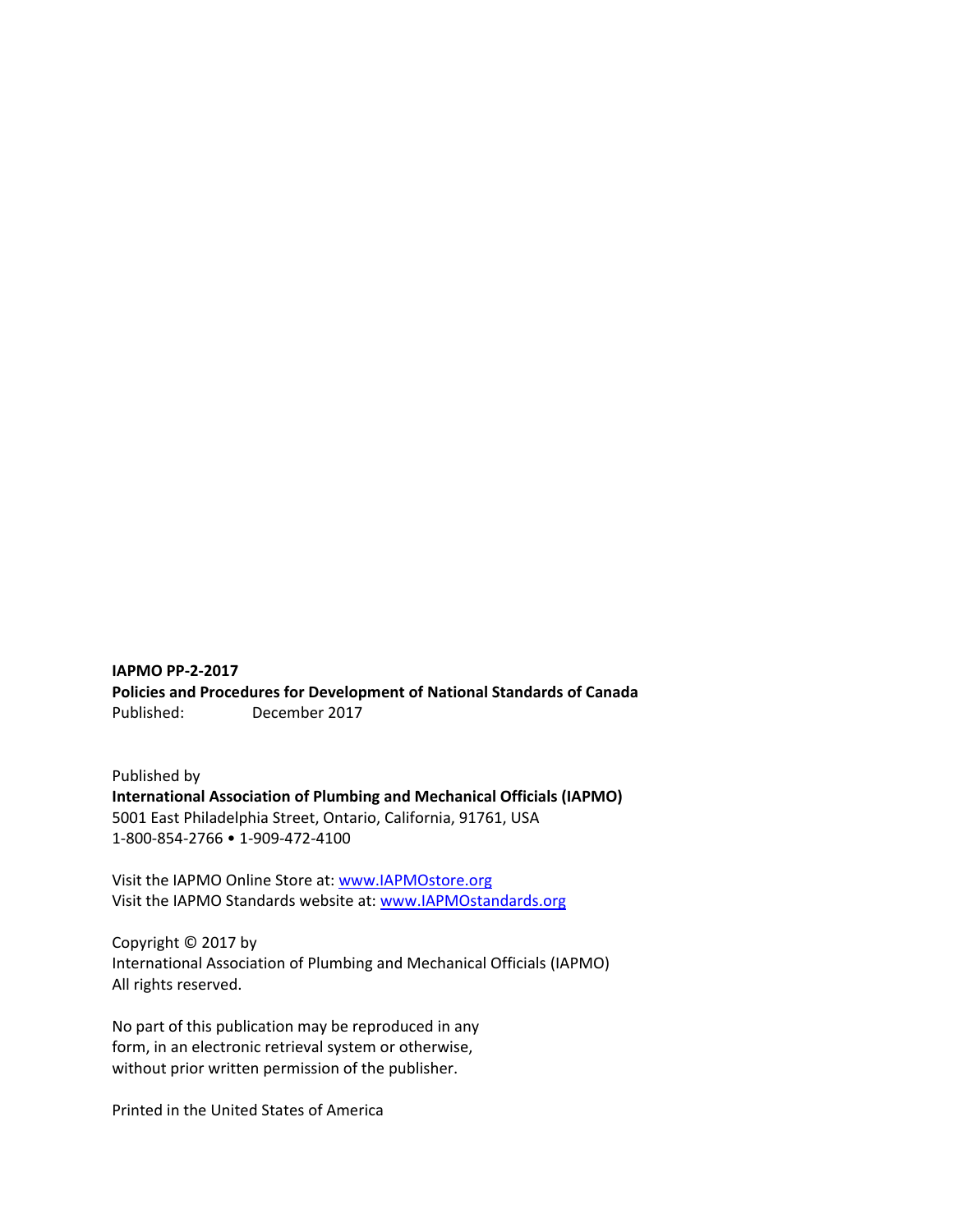**IAPMO PP‐2‐2017 Policies and Procedures for Development of National Standards of Canada**  Published: December 2017

Published by **International Association of Plumbing and Mechanical Officials (IAPMO)**  5001 East Philadelphia Street, Ontario, California, 91761, USA 1‐800‐854‐2766 • 1‐909‐472‐4100

Visit the IAPMO Online Store at: www.IAPMOstore.org Visit the IAPMO Standards website at: www.IAPMOstandards.org

Copyright © 2017 by International Association of Plumbing and Mechanical Officials (IAPMO) All rights reserved.

No part of this publication may be reproduced in any form, in an electronic retrieval system or otherwise, without prior written permission of the publisher.

Printed in the United States of America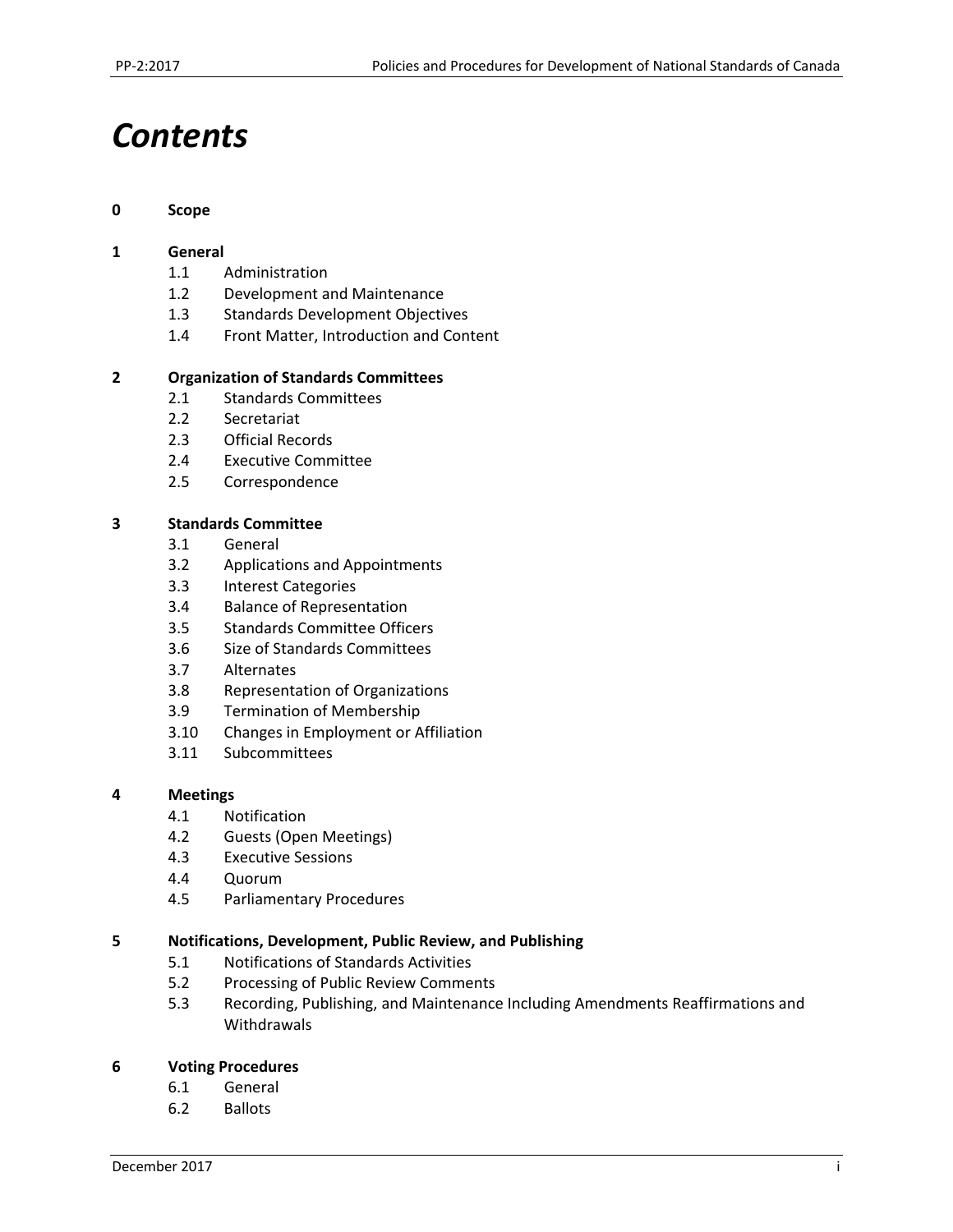# *Contents*

#### **0 Scope**

#### **1 General**

- 1.1 Administration
- 1.2 Development and Maintenance
- 1.3 Standards Development Objectives
- 1.4 Front Matter, Introduction and Content

#### **2 Organization of Standards Committees**

- 2.1 Standards Committees
- 2.2 Secretariat
- 2.3 Official Records
- 2.4 Executive Committee
- 2.5 Correspondence

#### **3 Standards Committee**

- 3.1 General
- 3.2 Applications and Appointments
- 3.3 Interest Categories
- 3.4 Balance of Representation
- 3.5 Standards Committee Officers
- 3.6 Size of Standards Committees
- 3.7 Alternates
- 3.8 Representation of Organizations
- 3.9 Termination of Membership
- 3.10 Changes in Employment or Affiliation
- 3.11 Subcommittees

#### **4 Meetings**

- 4.1 Notification
- 4.2 Guests (Open Meetings)
- 4.3 Executive Sessions
- 4.4 Quorum
- 4.5 Parliamentary Procedures

#### **5 Notifications, Development, Public Review, and Publishing**

- 5.1 Notifications of Standards Activities
- 5.2 Processing of Public Review Comments
- 5.3 Recording, Publishing, and Maintenance Including Amendments Reaffirmations and Withdrawals

#### **6 Voting Procedures**

- 6.1 General
- 6.2 Ballots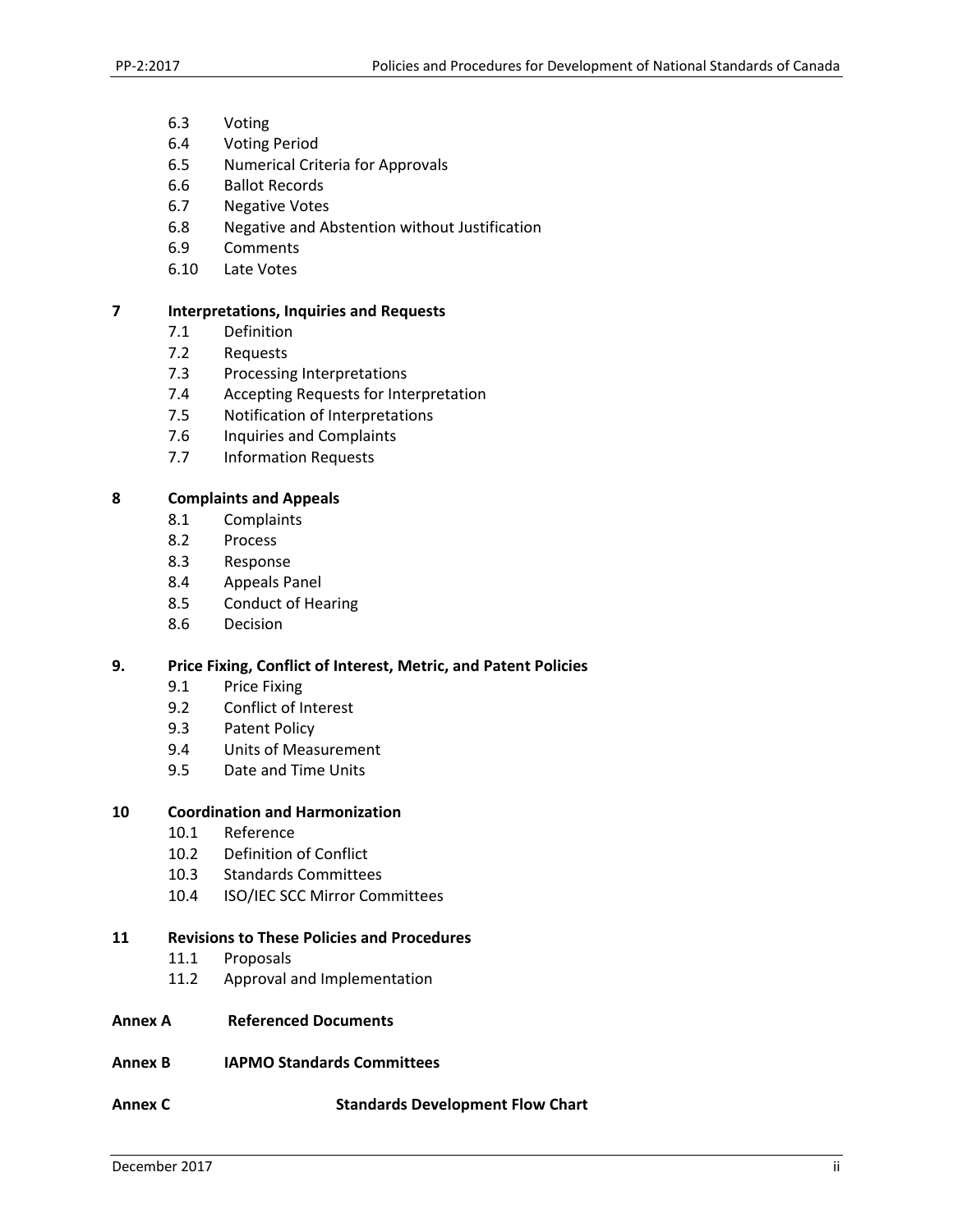- 6.3 Voting
- 6.4 Voting Period
- 6.5 Numerical Criteria for Approvals
- 6.6 Ballot Records
- 6.7 Negative Votes
- 6.8 Negative and Abstention without Justification
- 6.9 Comments
- 6.10 Late Votes

#### **7 Interpretations, Inquiries and Requests**

- 7.1 Definition
- 7.2 Requests
- 7.3 Processing Interpretations
- 7.4 Accepting Requests for Interpretation
- 7.5 Notification of Interpretations
- 7.6 Inquiries and Complaints
- 7.7 Information Requests

#### **8 Complaints and Appeals**

- 8.1 Complaints
- 8.2 Process
- 8.3 Response
- 8.4 Appeals Panel
- 8.5 Conduct of Hearing
- 8.6 Decision

#### **9. Price Fixing, Conflict of Interest, Metric, and Patent Policies**

- 9.1 Price Fixing
- 9.2 Conflict of Interest
- 9.3 Patent Policy
- 9.4 Units of Measurement
- 9.5 Date and Time Units

#### **10 Coordination and Harmonization**

- 10.1 Reference
- 10.2 Definition of Conflict
- 10.3 Standards Committees
- 10.4 ISO/IEC SCC Mirror Committees

#### **11 Revisions to These Policies and Procedures**

- 11.1 Proposals
- 11.2 Approval and Implementation
- **Annex A Referenced Documents**
- **Annex B IAPMO Standards Committees**
- **Annex C Standards Development Flow Chart**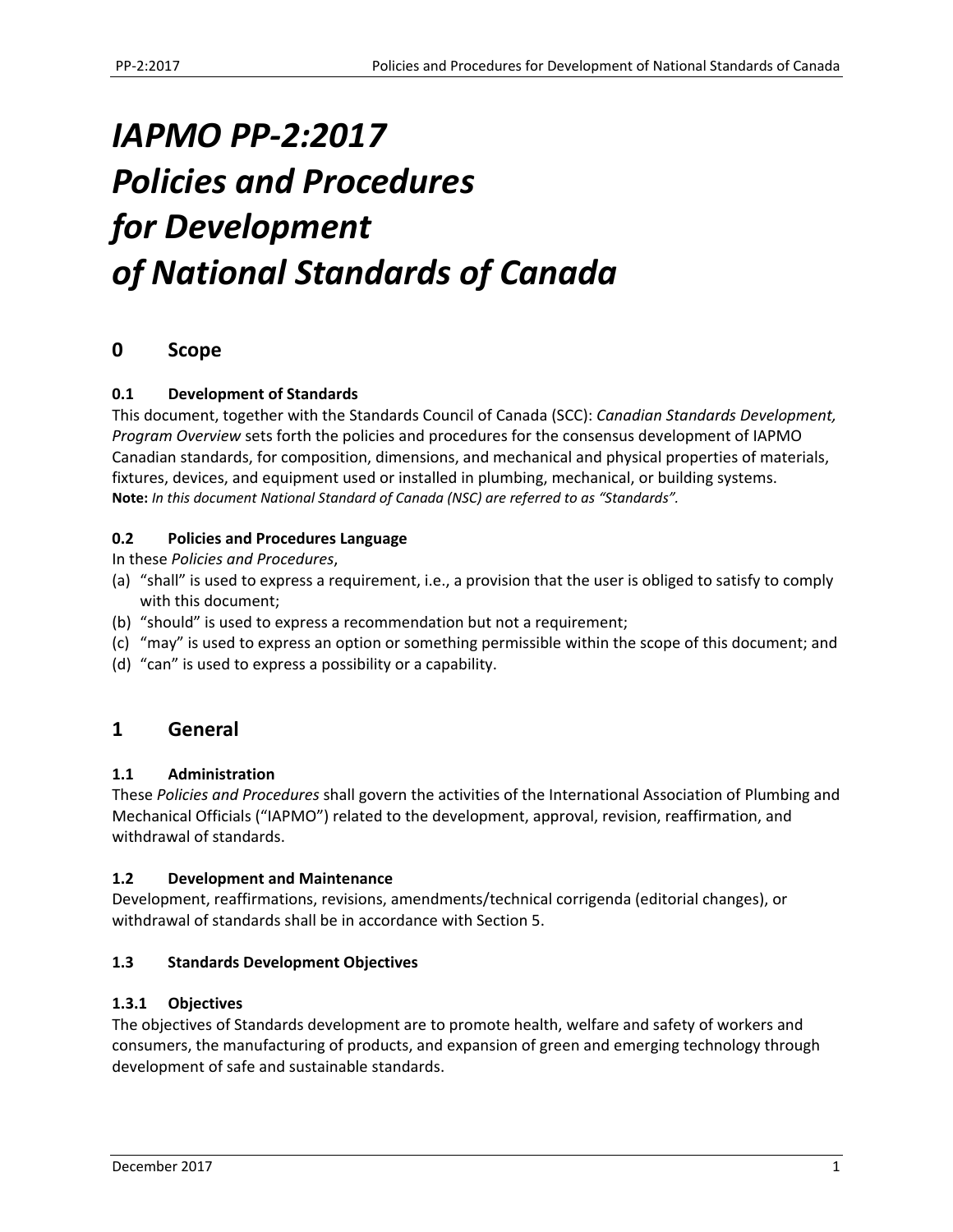# *IAPMO PP‐2:2017 Policies and Procedures for Development of National Standards of Canada*

# **0 Scope**

#### **0.1 Development of Standards**

This document, together with the Standards Council of Canada (SCC): *Canadian Standards Development, Program Overview* sets forth the policies and procedures for the consensus development of IAPMO Canadian standards, for composition, dimensions, and mechanical and physical properties of materials, fixtures, devices, and equipment used or installed in plumbing, mechanical, or building systems. **Note:** *In this document National Standard of Canada (NSC) are referred to as "Standards".* 

#### **0.2 Policies and Procedures Language**

In these *Policies and Procedures*,

- (a) "shall" is used to express a requirement, i.e., a provision that the user is obliged to satisfy to comply with this document;
- (b) "should" is used to express a recommendation but not a requirement;
- (c) "may" is used to express an option or something permissible within the scope of this document; and
- (d) "can" is used to express a possibility or a capability.

# **1 General**

#### **1.1 Administration**

These *Policies and Procedures* shall govern the activities of the International Association of Plumbing and Mechanical Officials ("IAPMO") related to the development, approval, revision, reaffirmation, and withdrawal of standards.

#### **1.2 Development and Maintenance**

Development, reaffirmations, revisions, amendments/technical corrigenda (editorial changes), or withdrawal of standards shall be in accordance with Section 5.

#### **1.3 Standards Development Objectives**

#### **1.3.1 Objectives**

The objectives of Standards development are to promote health, welfare and safety of workers and consumers, the manufacturing of products, and expansion of green and emerging technology through development of safe and sustainable standards.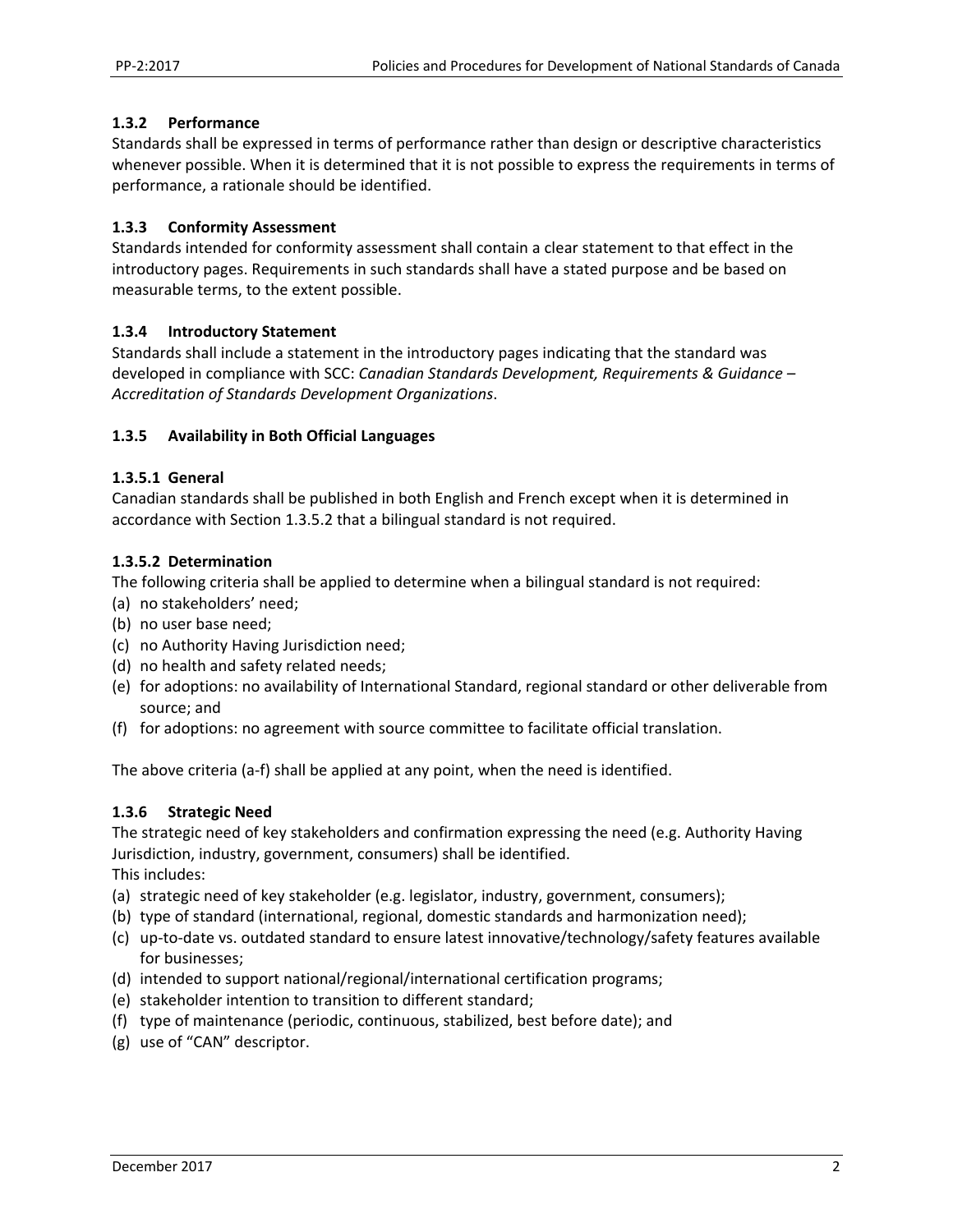#### **1.3.2 Performance**

Standards shall be expressed in terms of performance rather than design or descriptive characteristics whenever possible. When it is determined that it is not possible to express the requirements in terms of performance, a rationale should be identified.

#### **1.3.3 Conformity Assessment**

Standards intended for conformity assessment shall contain a clear statement to that effect in the introductory pages. Requirements in such standards shall have a stated purpose and be based on measurable terms, to the extent possible.

#### **1.3.4 Introductory Statement**

Standards shall include a statement in the introductory pages indicating that the standard was developed in compliance with SCC: *Canadian Standards Development, Requirements & Guidance – Accreditation of Standards Development Organizations*.

#### **1.3.5 Availability in Both Official Languages**

#### **1.3.5.1 General**

Canadian standards shall be published in both English and French except when it is determined in accordance with Section 1.3.5.2 that a bilingual standard is not required.

#### **1.3.5.2 Determination**

The following criteria shall be applied to determine when a bilingual standard is not required:

- (a) no stakeholders' need;
- (b) no user base need;
- (c) no Authority Having Jurisdiction need;
- (d) no health and safety related needs;
- (e) for adoptions: no availability of International Standard, regional standard or other deliverable from source; and
- (f) for adoptions: no agreement with source committee to facilitate official translation.

The above criteria (a‐f) shall be applied at any point, when the need is identified.

#### **1.3.6 Strategic Need**

The strategic need of key stakeholders and confirmation expressing the need (e.g. Authority Having Jurisdiction, industry, government, consumers) shall be identified. This includes:

- (a) strategic need of key stakeholder (e.g. legislator, industry, government, consumers);
- (b) type of standard (international, regional, domestic standards and harmonization need);
- (c) up‐to‐date vs. outdated standard to ensure latest innovative/technology/safety features available for businesses;
- (d) intended to support national/regional/international certification programs;
- (e) stakeholder intention to transition to different standard;
- (f) type of maintenance (periodic, continuous, stabilized, best before date); and
- (g) use of "CAN" descriptor.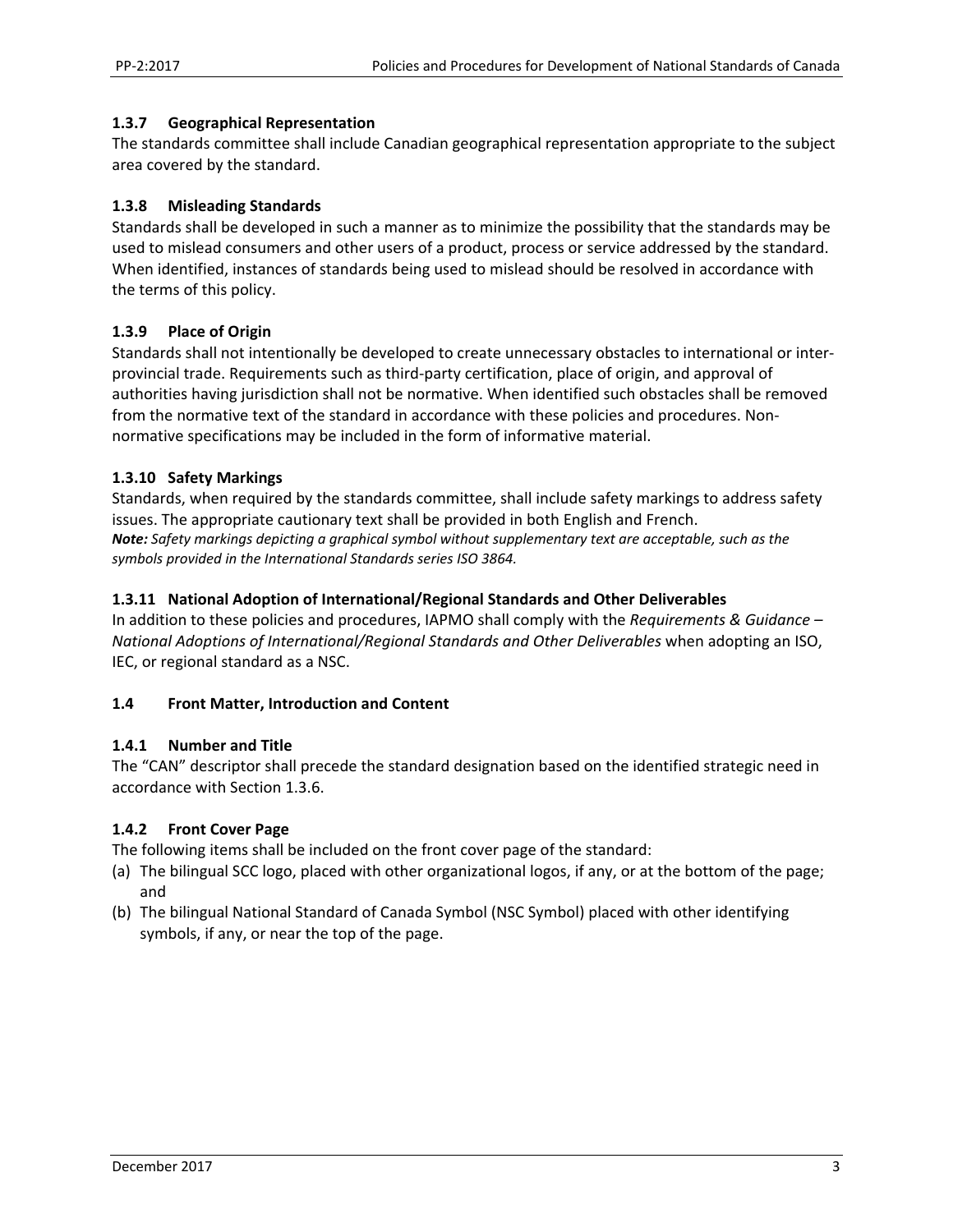#### **1.3.7 Geographical Representation**

The standards committee shall include Canadian geographical representation appropriate to the subject area covered by the standard.

#### **1.3.8 Misleading Standards**

Standards shall be developed in such a manner as to minimize the possibility that the standards may be used to mislead consumers and other users of a product, process or service addressed by the standard. When identified, instances of standards being used to mislead should be resolved in accordance with the terms of this policy.

#### **1.3.9 Place of Origin**

Standards shall not intentionally be developed to create unnecessary obstacles to international or inter‐ provincial trade. Requirements such as third‐party certification, place of origin, and approval of authorities having jurisdiction shall not be normative. When identified such obstacles shall be removed from the normative text of the standard in accordance with these policies and procedures. Non‐ normative specifications may be included in the form of informative material.

#### **1.3.10 Safety Markings**

Standards, when required by the standards committee, shall include safety markings to address safety issues. The appropriate cautionary text shall be provided in both English and French. *Note: Safety markings depicting a graphical symbol without supplementary text are acceptable, such as the symbols provided in the International Standards series ISO 3864.* 

#### **1.3.11 National Adoption of International/Regional Standards and Other Deliverables**

In addition to these policies and procedures, IAPMO shall comply with the *Requirements & Guidance – National Adoptions of International/Regional Standards and Other Deliverables* when adopting an ISO, IEC, or regional standard as a NSC.

#### **1.4 Front Matter, Introduction and Content**

#### **1.4.1 Number and Title**

The "CAN" descriptor shall precede the standard designation based on the identified strategic need in accordance with Section 1.3.6.

#### **1.4.2 Front Cover Page**

The following items shall be included on the front cover page of the standard:

- (a) The bilingual SCC logo, placed with other organizational logos, if any, or at the bottom of the page; and
- (b) The bilingual National Standard of Canada Symbol (NSC Symbol) placed with other identifying symbols, if any, or near the top of the page.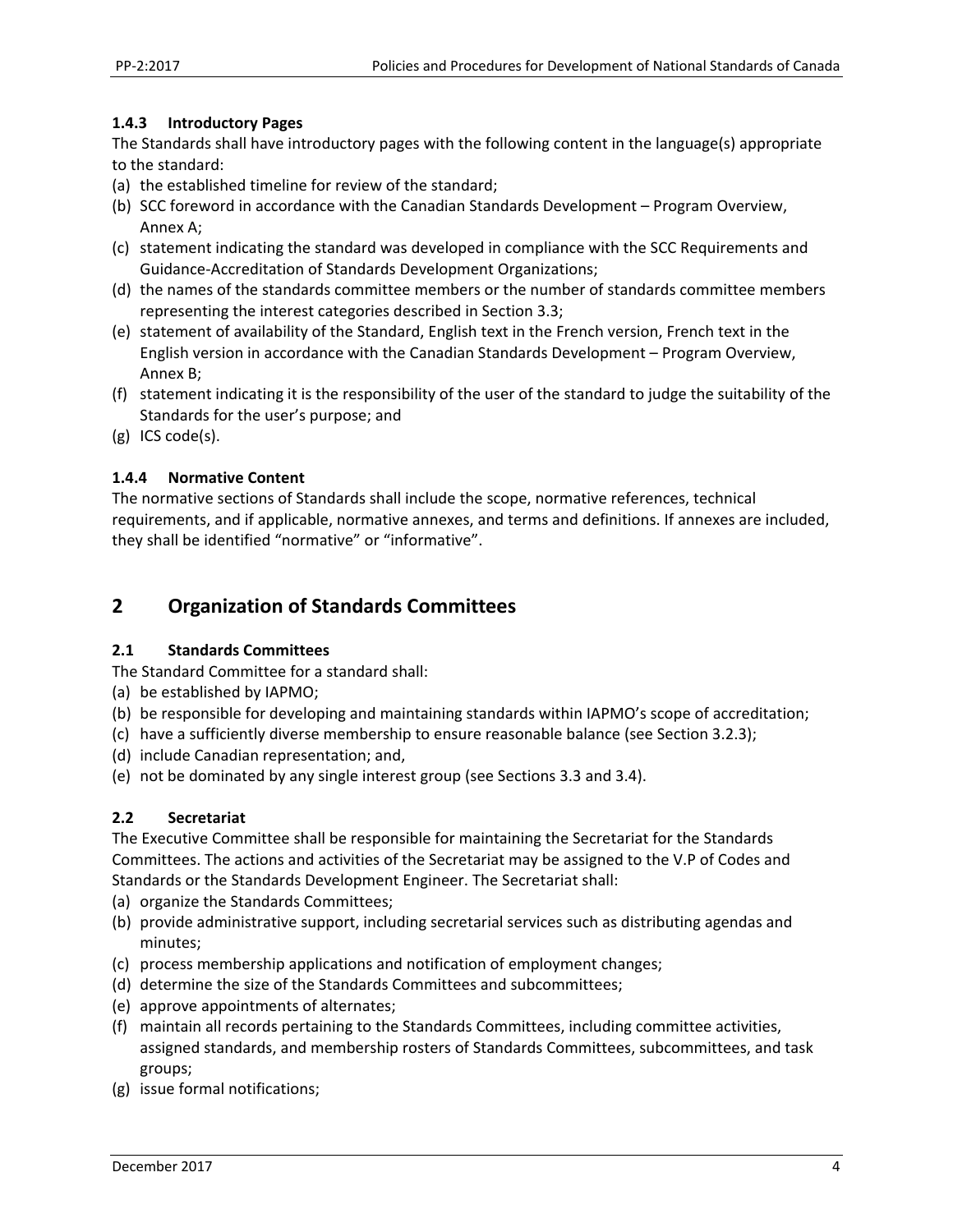#### **1.4.3 Introductory Pages**

The Standards shall have introductory pages with the following content in the language(s) appropriate to the standard:

- (a) the established timeline for review of the standard;
- (b) SCC foreword in accordance with the Canadian Standards Development Program Overview, Annex A;
- (c) statement indicating the standard was developed in compliance with the SCC Requirements and Guidance‐Accreditation of Standards Development Organizations;
- (d) the names of the standards committee members or the number of standards committee members representing the interest categories described in Section 3.3;
- (e) statement of availability of the Standard, English text in the French version, French text in the English version in accordance with the Canadian Standards Development – Program Overview, Annex B;
- (f) statement indicating it is the responsibility of the user of the standard to judge the suitability of the Standards for the user's purpose; and
- (g) ICS code(s).

#### **1.4.4 Normative Content**

The normative sections of Standards shall include the scope, normative references, technical requirements, and if applicable, normative annexes, and terms and definitions. If annexes are included, they shall be identified "normative" or "informative".

# **2 Organization of Standards Committees**

#### **2.1 Standards Committees**

The Standard Committee for a standard shall:

- (a) be established by IAPMO;
- (b) be responsible for developing and maintaining standards within IAPMO's scope of accreditation;
- (c) have a sufficiently diverse membership to ensure reasonable balance (see Section 3.2.3);
- (d) include Canadian representation; and,
- (e) not be dominated by any single interest group (see Sections 3.3 and 3.4).

#### **2.2 Secretariat**

The Executive Committee shall be responsible for maintaining the Secretariat for the Standards Committees. The actions and activities of the Secretariat may be assigned to the V.P of Codes and Standards or the Standards Development Engineer. The Secretariat shall:

- (a) organize the Standards Committees;
- (b) provide administrative support, including secretarial services such as distributing agendas and minutes;
- (c) process membership applications and notification of employment changes;
- (d) determine the size of the Standards Committees and subcommittees;
- (e) approve appointments of alternates;
- (f) maintain all records pertaining to the Standards Committees, including committee activities, assigned standards, and membership rosters of Standards Committees, subcommittees, and task groups;
- (g) issue formal notifications;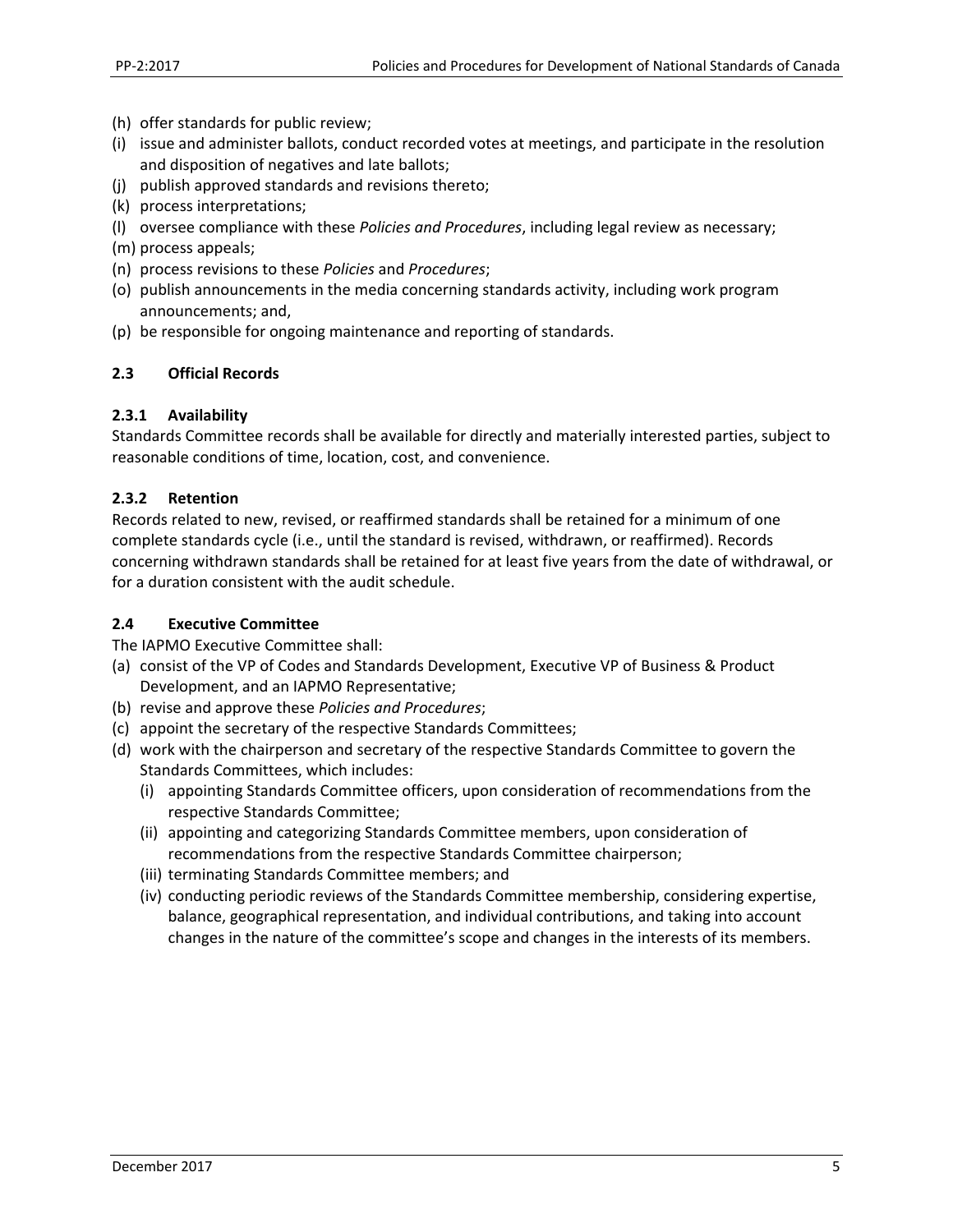- (h) offer standards for public review;
- (i) issue and administer ballots, conduct recorded votes at meetings, and participate in the resolution and disposition of negatives and late ballots;
- (j) publish approved standards and revisions thereto;
- (k) process interpretations;
- (l) oversee compliance with these *Policies and Procedures*, including legal review as necessary;
- (m) process appeals;
- (n) process revisions to these *Policies* and *Procedures*;
- (o) publish announcements in the media concerning standards activity, including work program announcements; and,
- (p) be responsible for ongoing maintenance and reporting of standards.

#### **2.3 Official Records**

#### **2.3.1 Availability**

Standards Committee records shall be available for directly and materially interested parties, subject to reasonable conditions of time, location, cost, and convenience.

#### **2.3.2 Retention**

Records related to new, revised, or reaffirmed standards shall be retained for a minimum of one complete standards cycle (i.e., until the standard is revised, withdrawn, or reaffirmed). Records concerning withdrawn standards shall be retained for at least five years from the date of withdrawal, or for a duration consistent with the audit schedule.

#### **2.4 Executive Committee**

The IAPMO Executive Committee shall:

- (a) consist of the VP of Codes and Standards Development, Executive VP of Business & Product Development, and an IAPMO Representative;
- (b) revise and approve these *Policies and Procedures*;
- (c) appoint the secretary of the respective Standards Committees;
- (d) work with the chairperson and secretary of the respective Standards Committee to govern the Standards Committees, which includes:
	- (i) appointing Standards Committee officers, upon consideration of recommendations from the respective Standards Committee;
	- (ii) appointing and categorizing Standards Committee members, upon consideration of recommendations from the respective Standards Committee chairperson;
	- (iii) terminating Standards Committee members; and
	- (iv) conducting periodic reviews of the Standards Committee membership, considering expertise, balance, geographical representation, and individual contributions, and taking into account changes in the nature of the committee's scope and changes in the interests of its members.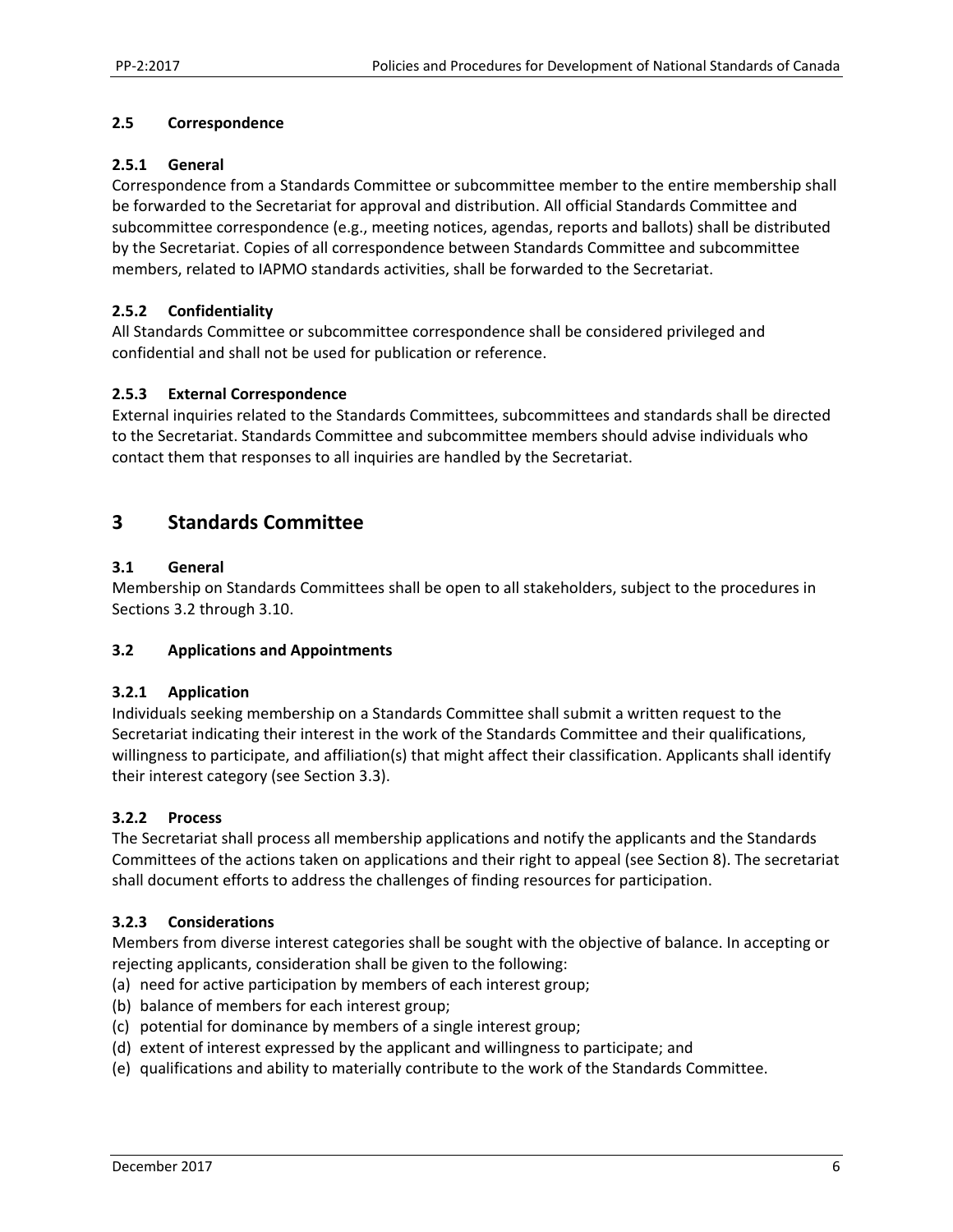#### **2.5 Correspondence**

#### **2.5.1 General**

Correspondence from a Standards Committee or subcommittee member to the entire membership shall be forwarded to the Secretariat for approval and distribution. All official Standards Committee and subcommittee correspondence (e.g., meeting notices, agendas, reports and ballots) shall be distributed by the Secretariat. Copies of all correspondence between Standards Committee and subcommittee members, related to IAPMO standards activities, shall be forwarded to the Secretariat.

#### **2.5.2 Confidentiality**

All Standards Committee or subcommittee correspondence shall be considered privileged and confidential and shall not be used for publication or reference.

#### **2.5.3 External Correspondence**

External inquiries related to the Standards Committees, subcommittees and standards shall be directed to the Secretariat. Standards Committee and subcommittee members should advise individuals who contact them that responses to all inquiries are handled by the Secretariat.

# **3 Standards Committee**

#### **3.1 General**

Membership on Standards Committees shall be open to all stakeholders, subject to the procedures in Sections 3.2 through 3.10.

#### **3.2 Applications and Appointments**

#### **3.2.1 Application**

Individuals seeking membership on a Standards Committee shall submit a written request to the Secretariat indicating their interest in the work of the Standards Committee and their qualifications, willingness to participate, and affiliation(s) that might affect their classification. Applicants shall identify their interest category (see Section 3.3).

#### **3.2.2 Process**

The Secretariat shall process all membership applications and notify the applicants and the Standards Committees of the actions taken on applications and their right to appeal (see Section 8). The secretariat shall document efforts to address the challenges of finding resources for participation.

#### **3.2.3 Considerations**

Members from diverse interest categories shall be sought with the objective of balance. In accepting or rejecting applicants, consideration shall be given to the following:

- (a) need for active participation by members of each interest group;
- (b) balance of members for each interest group;
- (c) potential for dominance by members of a single interest group;
- (d) extent of interest expressed by the applicant and willingness to participate; and
- (e) qualifications and ability to materially contribute to the work of the Standards Committee.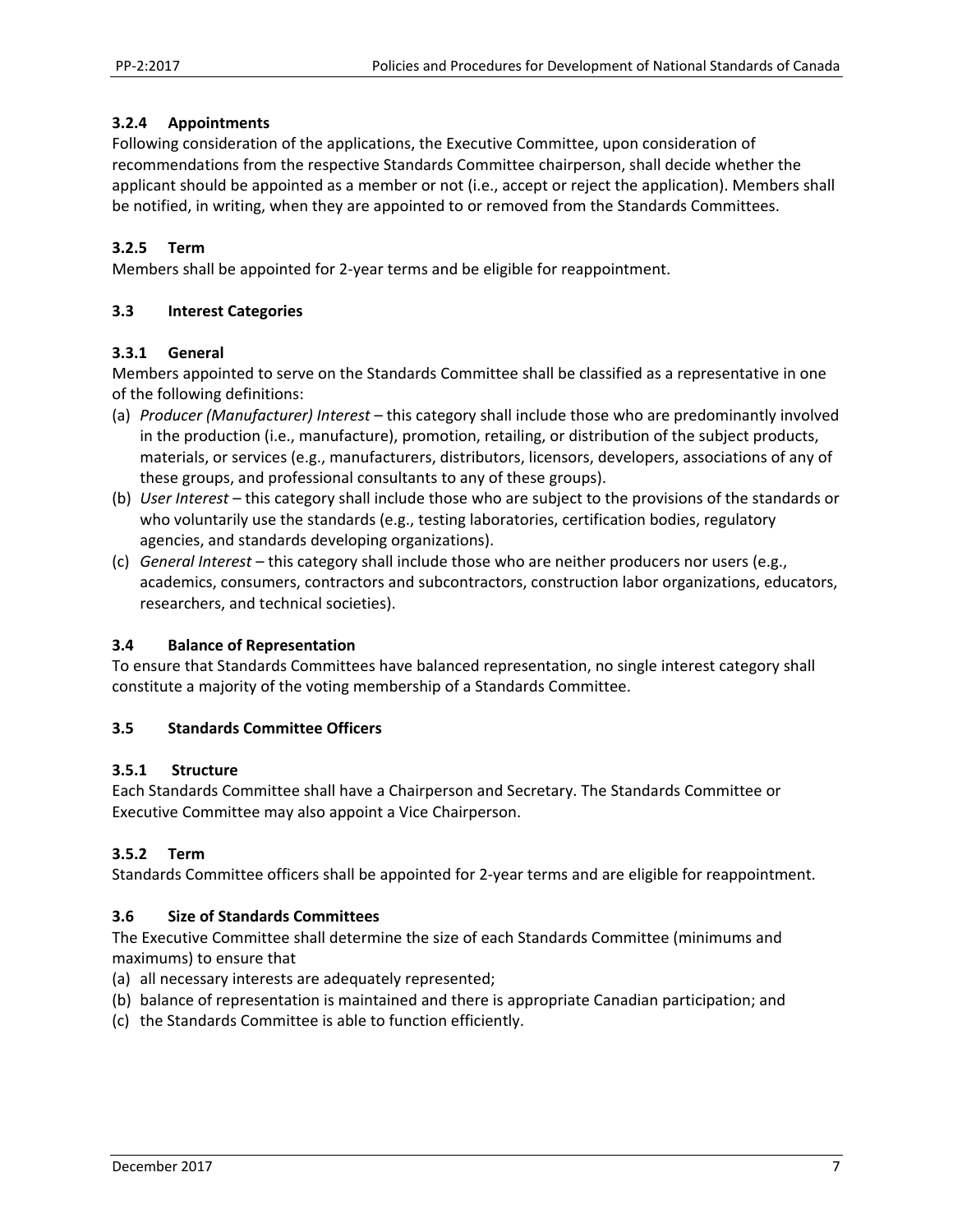#### **3.2.4 Appointments**

Following consideration of the applications, the Executive Committee, upon consideration of recommendations from the respective Standards Committee chairperson, shall decide whether the applicant should be appointed as a member or not (i.e., accept or reject the application). Members shall be notified, in writing, when they are appointed to or removed from the Standards Committees.

#### **3.2.5 Term**

Members shall be appointed for 2‐year terms and be eligible for reappointment.

#### **3.3 Interest Categories**

#### **3.3.1 General**

Members appointed to serve on the Standards Committee shall be classified as a representative in one of the following definitions:

- (a) *Producer (Manufacturer) Interest* this category shall include those who are predominantly involved in the production (i.e., manufacture), promotion, retailing, or distribution of the subject products, materials, or services (e.g., manufacturers, distributors, licensors, developers, associations of any of these groups, and professional consultants to any of these groups).
- (b) *User Interest* this category shall include those who are subject to the provisions of the standards or who voluntarily use the standards (e.g., testing laboratories, certification bodies, regulatory agencies, and standards developing organizations).
- (c) *General Interest* this category shall include those who are neither producers nor users (e.g., academics, consumers, contractors and subcontractors, construction labor organizations, educators, researchers, and technical societies).

#### **3.4 Balance of Representation**

To ensure that Standards Committees have balanced representation, no single interest category shall constitute a majority of the voting membership of a Standards Committee.

#### **3.5 Standards Committee Officers**

#### **3.5.1 Structure**

Each Standards Committee shall have a Chairperson and Secretary. The Standards Committee or Executive Committee may also appoint a Vice Chairperson.

#### **3.5.2 Term**

Standards Committee officers shall be appointed for 2‐year terms and are eligible for reappointment.

#### **3.6 Size of Standards Committees**

The Executive Committee shall determine the size of each Standards Committee (minimums and maximums) to ensure that

- (a) all necessary interests are adequately represented;
- (b) balance of representation is maintained and there is appropriate Canadian participation; and
- (c) the Standards Committee is able to function efficiently.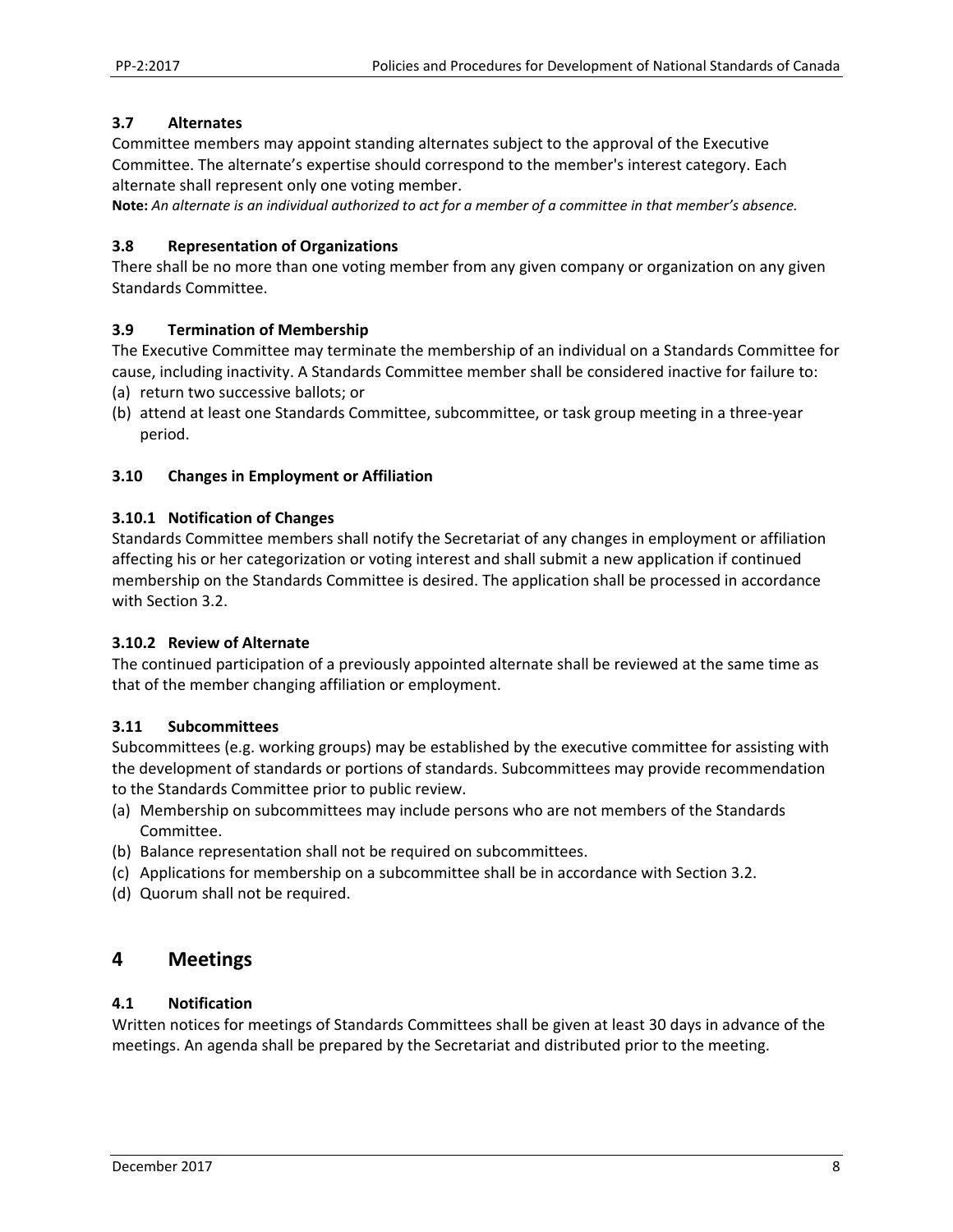#### **3.7 Alternates**

Committee members may appoint standing alternates subject to the approval of the Executive Committee. The alternate's expertise should correspond to the member's interest category. Each alternate shall represent only one voting member.

**Note:** *An alternate is an individual authorized to act for a member of a committee in that member's absence.* 

#### **3.8 Representation of Organizations**

There shall be no more than one voting member from any given company or organization on any given Standards Committee.

#### **3.9 Termination of Membership**

The Executive Committee may terminate the membership of an individual on a Standards Committee for cause, including inactivity. A Standards Committee member shall be considered inactive for failure to:

- (a) return two successive ballots; or
- (b) attend at least one Standards Committee, subcommittee, or task group meeting in a three‐year period.

#### **3.10 Changes in Employment or Affiliation**

#### **3.10.1 Notification of Changes**

Standards Committee members shall notify the Secretariat of any changes in employment or affiliation affecting his or her categorization or voting interest and shall submit a new application if continued membership on the Standards Committee is desired. The application shall be processed in accordance with Section 3.2.

#### **3.10.2 Review of Alternate**

The continued participation of a previously appointed alternate shall be reviewed at the same time as that of the member changing affiliation or employment.

#### **3.11 Subcommittees**

Subcommittees (e.g. working groups) may be established by the executive committee for assisting with the development of standards or portions of standards. Subcommittees may provide recommendation to the Standards Committee prior to public review.

- (a) Membership on subcommittees may include persons who are not members of the Standards Committee.
- (b) Balance representation shall not be required on subcommittees.
- (c) Applications for membership on a subcommittee shall be in accordance with Section 3.2.
- (d) Quorum shall not be required.

# **4 Meetings**

#### **4.1 Notification**

Written notices for meetings of Standards Committees shall be given at least 30 days in advance of the meetings. An agenda shall be prepared by the Secretariat and distributed prior to the meeting.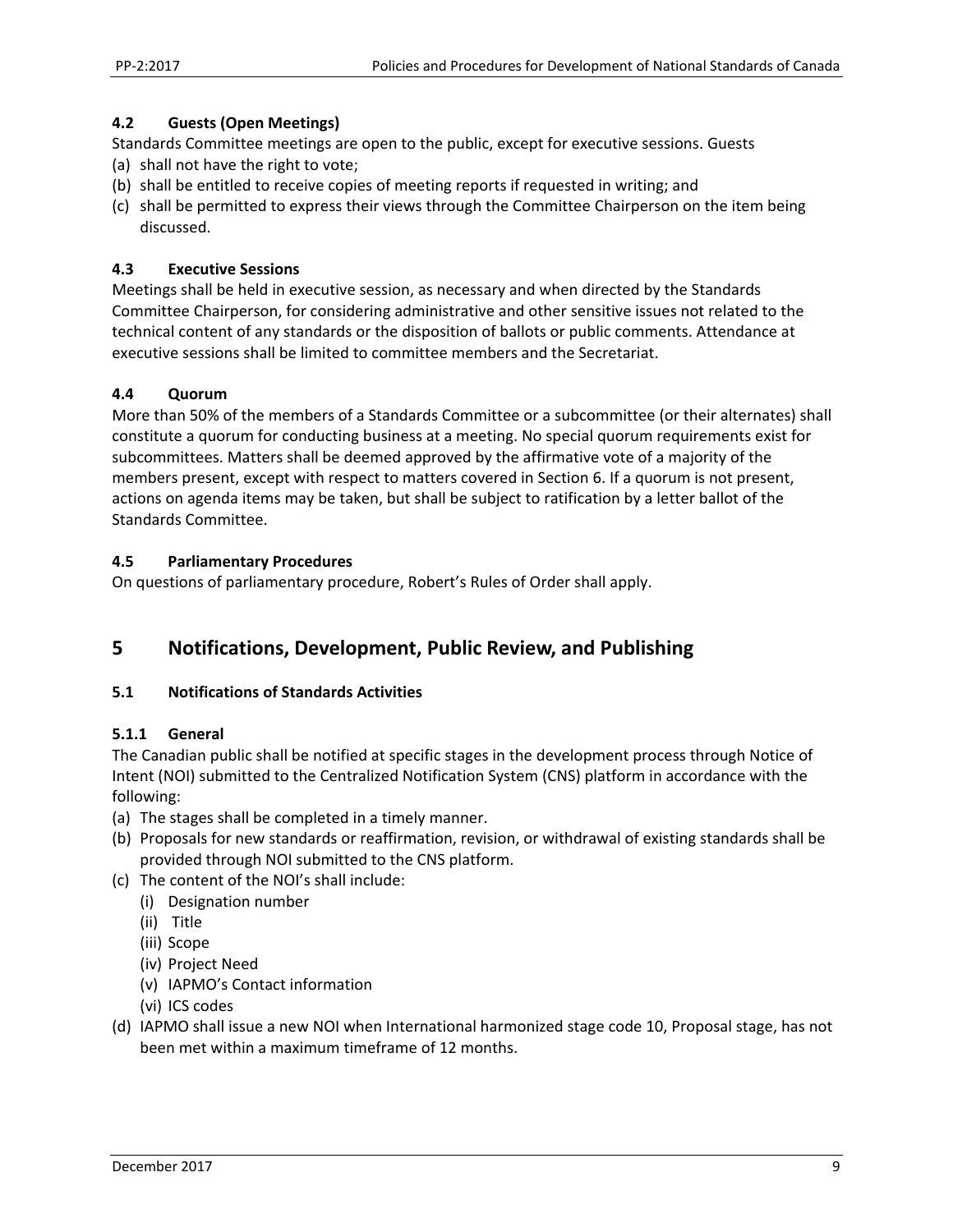#### **4.2 Guests (Open Meetings)**

Standards Committee meetings are open to the public, except for executive sessions. Guests

- (a) shall not have the right to vote;
- (b) shall be entitled to receive copies of meeting reports if requested in writing; and
- (c) shall be permitted to express their views through the Committee Chairperson on the item being discussed.

#### **4.3 Executive Sessions**

Meetings shall be held in executive session, as necessary and when directed by the Standards Committee Chairperson, for considering administrative and other sensitive issues not related to the technical content of any standards or the disposition of ballots or public comments. Attendance at executive sessions shall be limited to committee members and the Secretariat.

#### **4.4 Quorum**

More than 50% of the members of a Standards Committee or a subcommittee (or their alternates) shall constitute a quorum for conducting business at a meeting. No special quorum requirements exist for subcommittees. Matters shall be deemed approved by the affirmative vote of a majority of the members present, except with respect to matters covered in Section 6. If a quorum is not present, actions on agenda items may be taken, but shall be subject to ratification by a letter ballot of the Standards Committee.

#### **4.5 Parliamentary Procedures**

On questions of parliamentary procedure, Robert's Rules of Order shall apply.

# **5 Notifications, Development, Public Review, and Publishing**

#### **5.1 Notifications of Standards Activities**

#### **5.1.1 General**

The Canadian public shall be notified at specific stages in the development process through Notice of Intent (NOI) submitted to the Centralized Notification System (CNS) platform in accordance with the following:

- (a) The stages shall be completed in a timely manner.
- (b) Proposals for new standards or reaffirmation, revision, or withdrawal of existing standards shall be provided through NOI submitted to the CNS platform.
- (c) The content of the NOI's shall include:
	- (i) Designation number
	- (ii) Title
	- (iii) Scope
	- (iv) Project Need
	- (v) IAPMO's Contact information
	- (vi) ICS codes
- (d) IAPMO shall issue a new NOI when International harmonized stage code 10, Proposal stage, has not been met within a maximum timeframe of 12 months.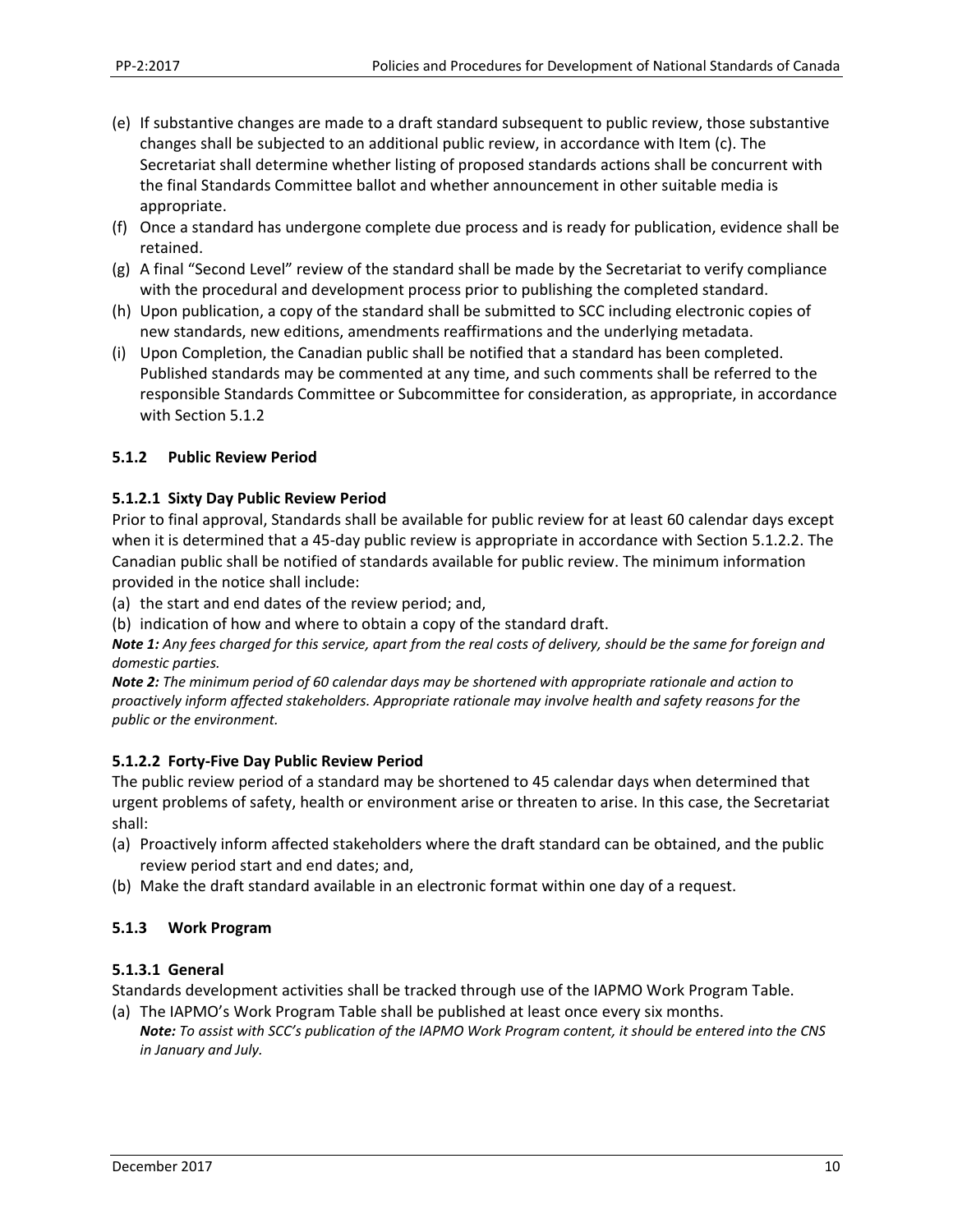- (e) If substantive changes are made to a draft standard subsequent to public review, those substantive changes shall be subjected to an additional public review, in accordance with Item (c). The Secretariat shall determine whether listing of proposed standards actions shall be concurrent with the final Standards Committee ballot and whether announcement in other suitable media is appropriate.
- (f) Once a standard has undergone complete due process and is ready for publication, evidence shall be retained.
- (g) A final "Second Level" review of the standard shall be made by the Secretariat to verify compliance with the procedural and development process prior to publishing the completed standard.
- (h) Upon publication, a copy of the standard shall be submitted to SCC including electronic copies of new standards, new editions, amendments reaffirmations and the underlying metadata.
- (i) Upon Completion, the Canadian public shall be notified that a standard has been completed. Published standards may be commented at any time, and such comments shall be referred to the responsible Standards Committee or Subcommittee for consideration, as appropriate, in accordance with Section 5.1.2

#### **5.1.2 Public Review Period**

#### **5.1.2.1 Sixty Day Public Review Period**

Prior to final approval, Standards shall be available for public review for at least 60 calendar days except when it is determined that a 45-day public review is appropriate in accordance with Section 5.1.2.2. The Canadian public shall be notified of standards available for public review. The minimum information provided in the notice shall include:

(a) the start and end dates of the review period; and,

(b) indication of how and where to obtain a copy of the standard draft.

*Note 1: Any fees charged for this service, apart from the real costs of delivery, should be the same for foreign and domestic parties.* 

*Note 2: The minimum period of 60 calendar days may be shortened with appropriate rationale and action to proactively inform affected stakeholders. Appropriate rationale may involve health and safety reasons for the public or the environment.*

#### **5.1.2.2 Forty‐Five Day Public Review Period**

The public review period of a standard may be shortened to 45 calendar days when determined that urgent problems of safety, health or environment arise or threaten to arise. In this case, the Secretariat shall:

- (a) Proactively inform affected stakeholders where the draft standard can be obtained, and the public review period start and end dates; and,
- (b) Make the draft standard available in an electronic format within one day of a request.

#### **5.1.3 Work Program**

#### **5.1.3.1 General**

Standards development activities shall be tracked through use of the IAPMO Work Program Table.

(a) The IAPMO's Work Program Table shall be published at least once every six months. *Note: To assist with SCC's publication of the IAPMO Work Program content, it should be entered into the CNS in January and July.*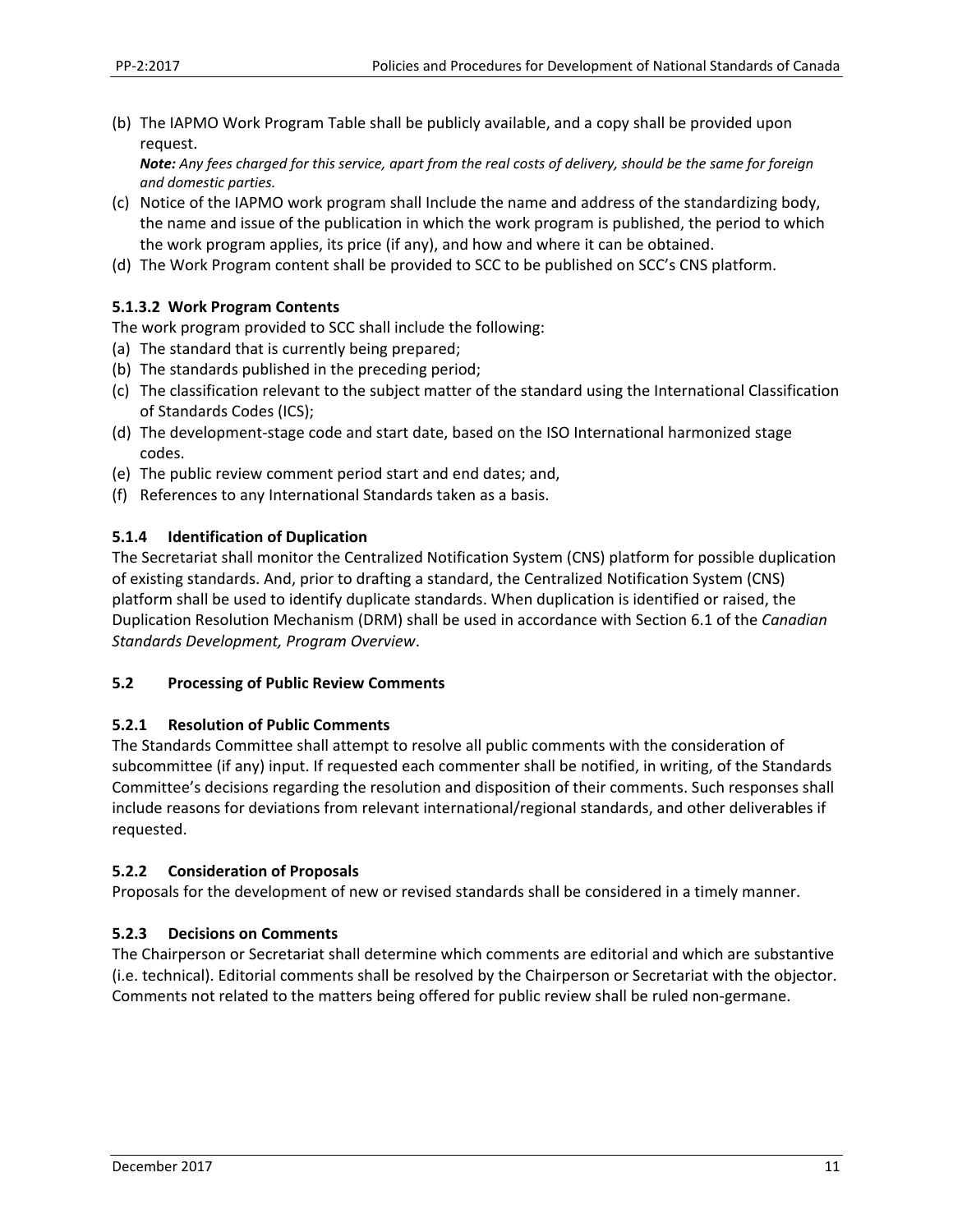(b) The IAPMO Work Program Table shall be publicly available, and a copy shall be provided upon request.

*Note: Any fees charged for this service, apart from the real costs of delivery, should be the same for foreign and domestic parties.* 

- (c) Notice of the IAPMO work program shall Include the name and address of the standardizing body, the name and issue of the publication in which the work program is published, the period to which the work program applies, its price (if any), and how and where it can be obtained.
- (d) The Work Program content shall be provided to SCC to be published on SCC's CNS platform.

#### **5.1.3.2 Work Program Contents**

The work program provided to SCC shall include the following:

- (a) The standard that is currently being prepared;
- (b) The standards published in the preceding period;
- (c) The classification relevant to the subject matter of the standard using the International Classification of Standards Codes (ICS);
- (d) The development‐stage code and start date, based on the ISO International harmonized stage codes.
- (e) The public review comment period start and end dates; and,
- (f) References to any International Standards taken as a basis.

#### **5.1.4 Identification of Duplication**

The Secretariat shall monitor the Centralized Notification System (CNS) platform for possible duplication of existing standards. And, prior to drafting a standard, the Centralized Notification System (CNS) platform shall be used to identify duplicate standards. When duplication is identified or raised, the Duplication Resolution Mechanism (DRM) shall be used in accordance with Section 6.1 of the *Canadian Standards Development, Program Overview*.

#### **5.2 Processing of Public Review Comments**

#### **5.2.1 Resolution of Public Comments**

The Standards Committee shall attempt to resolve all public comments with the consideration of subcommittee (if any) input. If requested each commenter shall be notified, in writing, of the Standards Committee's decisions regarding the resolution and disposition of their comments. Such responses shall include reasons for deviations from relevant international/regional standards, and other deliverables if requested.

#### **5.2.2 Consideration of Proposals**

Proposals for the development of new or revised standards shall be considered in a timely manner.

#### **5.2.3 Decisions on Comments**

The Chairperson or Secretariat shall determine which comments are editorial and which are substantive (i.e. technical). Editorial comments shall be resolved by the Chairperson or Secretariat with the objector. Comments not related to the matters being offered for public review shall be ruled non‐germane.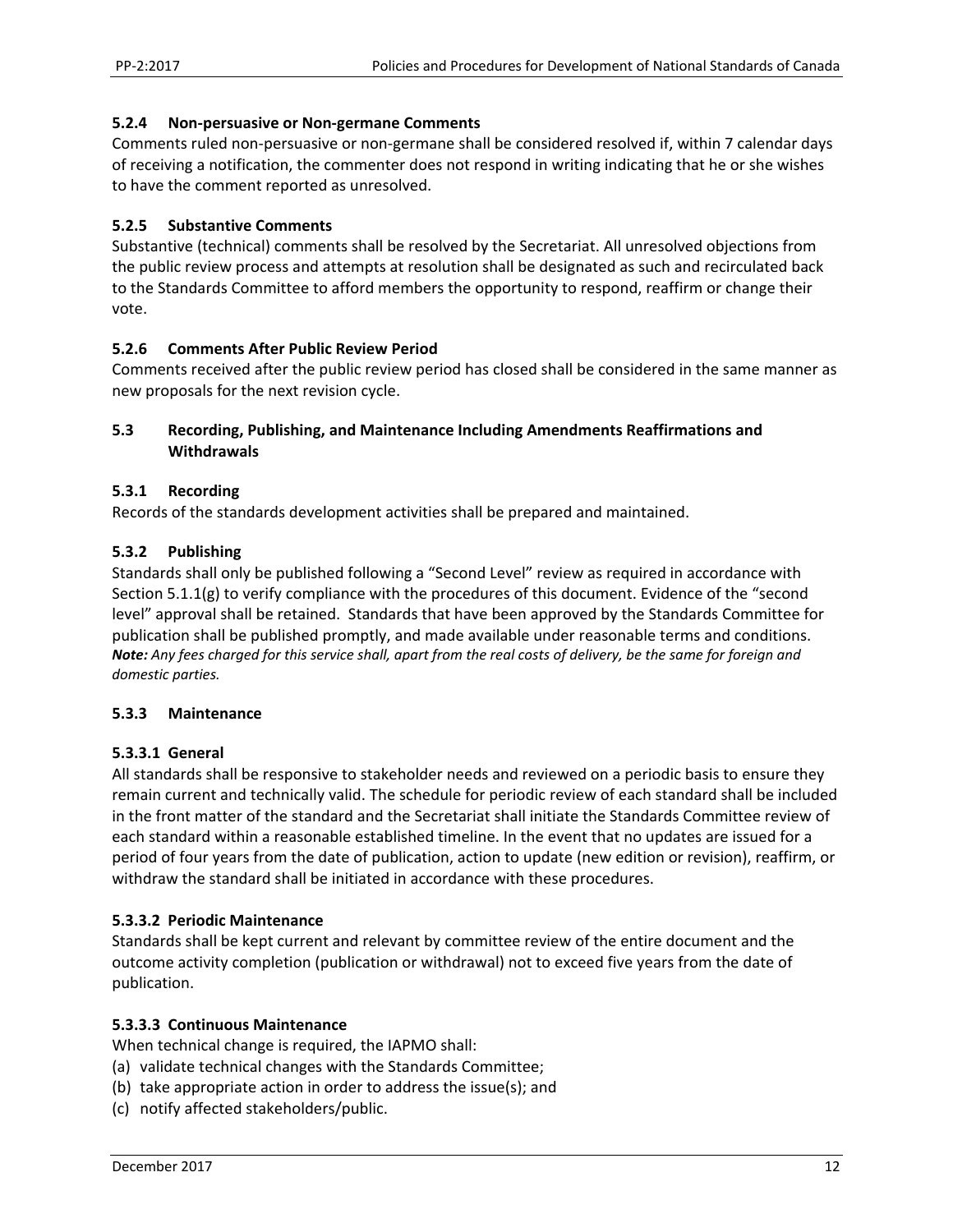#### **5.2.4 Non‐persuasive or Non‐germane Comments**

Comments ruled non‐persuasive or non‐germane shall be considered resolved if, within 7 calendar days of receiving a notification, the commenter does not respond in writing indicating that he or she wishes to have the comment reported as unresolved.

#### **5.2.5 Substantive Comments**

Substantive (technical) comments shall be resolved by the Secretariat. All unresolved objections from the public review process and attempts at resolution shall be designated as such and recirculated back to the Standards Committee to afford members the opportunity to respond, reaffirm or change their vote.

#### **5.2.6 Comments After Public Review Period**

Comments received after the public review period has closed shall be considered in the same manner as new proposals for the next revision cycle.

#### **5.3 Recording, Publishing, and Maintenance Including Amendments Reaffirmations and Withdrawals**

#### **5.3.1 Recording**

Records of the standards development activities shall be prepared and maintained.

#### **5.3.2 Publishing**

Standards shall only be published following a "Second Level" review as required in accordance with Section 5.1.1(g) to verify compliance with the procedures of this document. Evidence of the "second level" approval shall be retained. Standards that have been approved by the Standards Committee for publication shall be published promptly, and made available under reasonable terms and conditions. *Note: Any fees charged for this service shall, apart from the real costs of delivery, be the same for foreign and domestic parties.* 

#### **5.3.3 Maintenance**

#### **5.3.3.1 General**

All standards shall be responsive to stakeholder needs and reviewed on a periodic basis to ensure they remain current and technically valid. The schedule for periodic review of each standard shall be included in the front matter of the standard and the Secretariat shall initiate the Standards Committee review of each standard within a reasonable established timeline. In the event that no updates are issued for a period of four years from the date of publication, action to update (new edition or revision), reaffirm, or withdraw the standard shall be initiated in accordance with these procedures.

#### **5.3.3.2 Periodic Maintenance**

Standards shall be kept current and relevant by committee review of the entire document and the outcome activity completion (publication or withdrawal) not to exceed five years from the date of publication.

#### **5.3.3.3 Continuous Maintenance**

When technical change is required, the IAPMO shall:

- (a) validate technical changes with the Standards Committee;
- (b) take appropriate action in order to address the issue(s); and
- (c) notify affected stakeholders/public.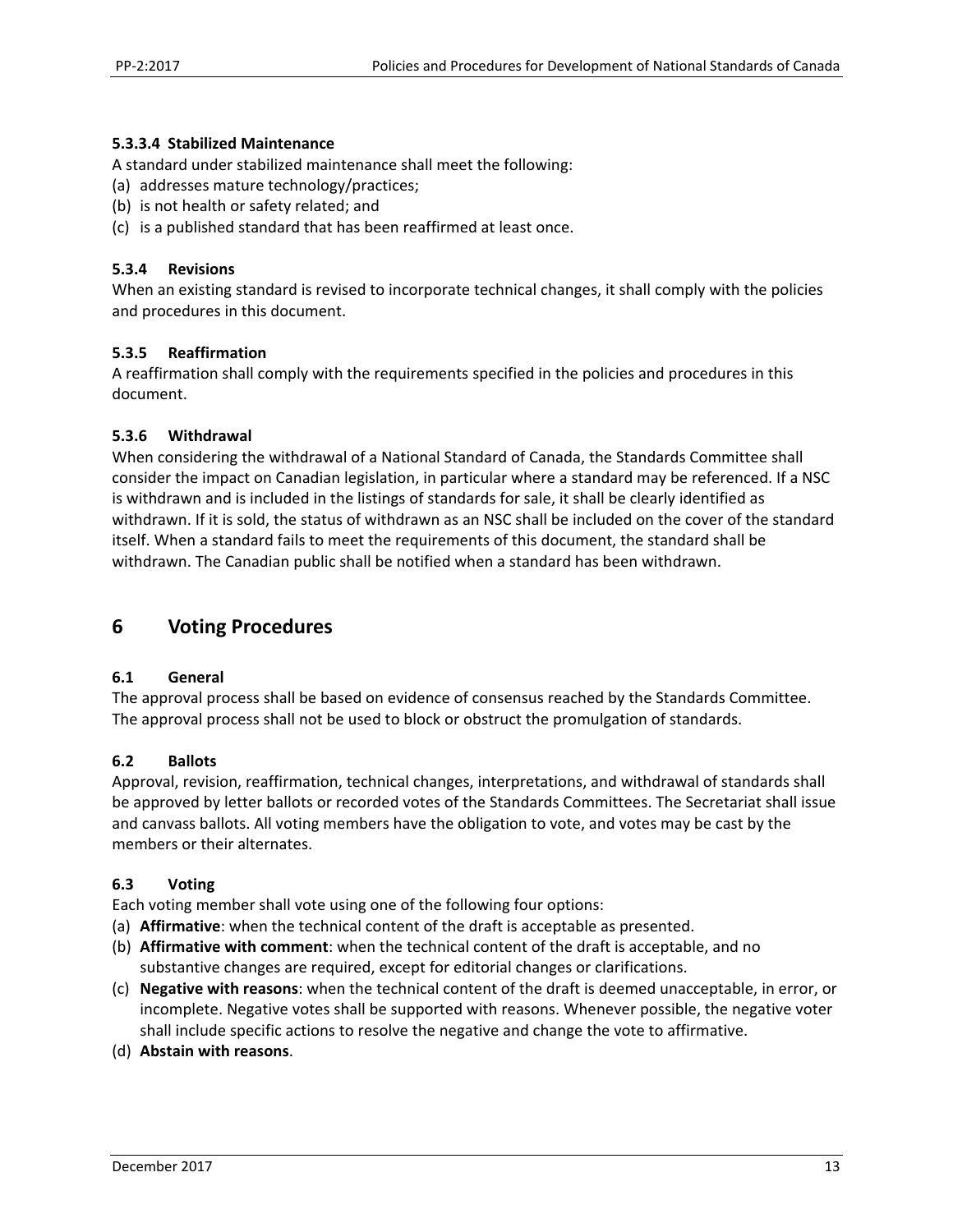#### **5.3.3.4 Stabilized Maintenance**

A standard under stabilized maintenance shall meet the following:

- (a) addresses mature technology/practices;
- (b) is not health or safety related; and
- (c) is a published standard that has been reaffirmed at least once.

#### **5.3.4 Revisions**

When an existing standard is revised to incorporate technical changes, it shall comply with the policies and procedures in this document.

#### **5.3.5 Reaffirmation**

A reaffirmation shall comply with the requirements specified in the policies and procedures in this document.

#### **5.3.6 Withdrawal**

When considering the withdrawal of a National Standard of Canada, the Standards Committee shall consider the impact on Canadian legislation, in particular where a standard may be referenced. If a NSC is withdrawn and is included in the listings of standards for sale, it shall be clearly identified as withdrawn. If it is sold, the status of withdrawn as an NSC shall be included on the cover of the standard itself. When a standard fails to meet the requirements of this document, the standard shall be withdrawn. The Canadian public shall be notified when a standard has been withdrawn.

# **6 Voting Procedures**

#### **6.1 General**

The approval process shall be based on evidence of consensus reached by the Standards Committee. The approval process shall not be used to block or obstruct the promulgation of standards.

#### **6.2 Ballots**

Approval, revision, reaffirmation, technical changes, interpretations, and withdrawal of standards shall be approved by letter ballots or recorded votes of the Standards Committees. The Secretariat shall issue and canvass ballots. All voting members have the obligation to vote, and votes may be cast by the members or their alternates.

#### **6.3 Voting**

Each voting member shall vote using one of the following four options:

- (a) **Affirmative**: when the technical content of the draft is acceptable as presented.
- (b) **Affirmative with comment**: when the technical content of the draft is acceptable, and no substantive changes are required, except for editorial changes or clarifications.
- (c) **Negative with reasons**: when the technical content of the draft is deemed unacceptable, in error, or incomplete. Negative votes shall be supported with reasons. Whenever possible, the negative voter shall include specific actions to resolve the negative and change the vote to affirmative.
- (d) **Abstain with reasons**.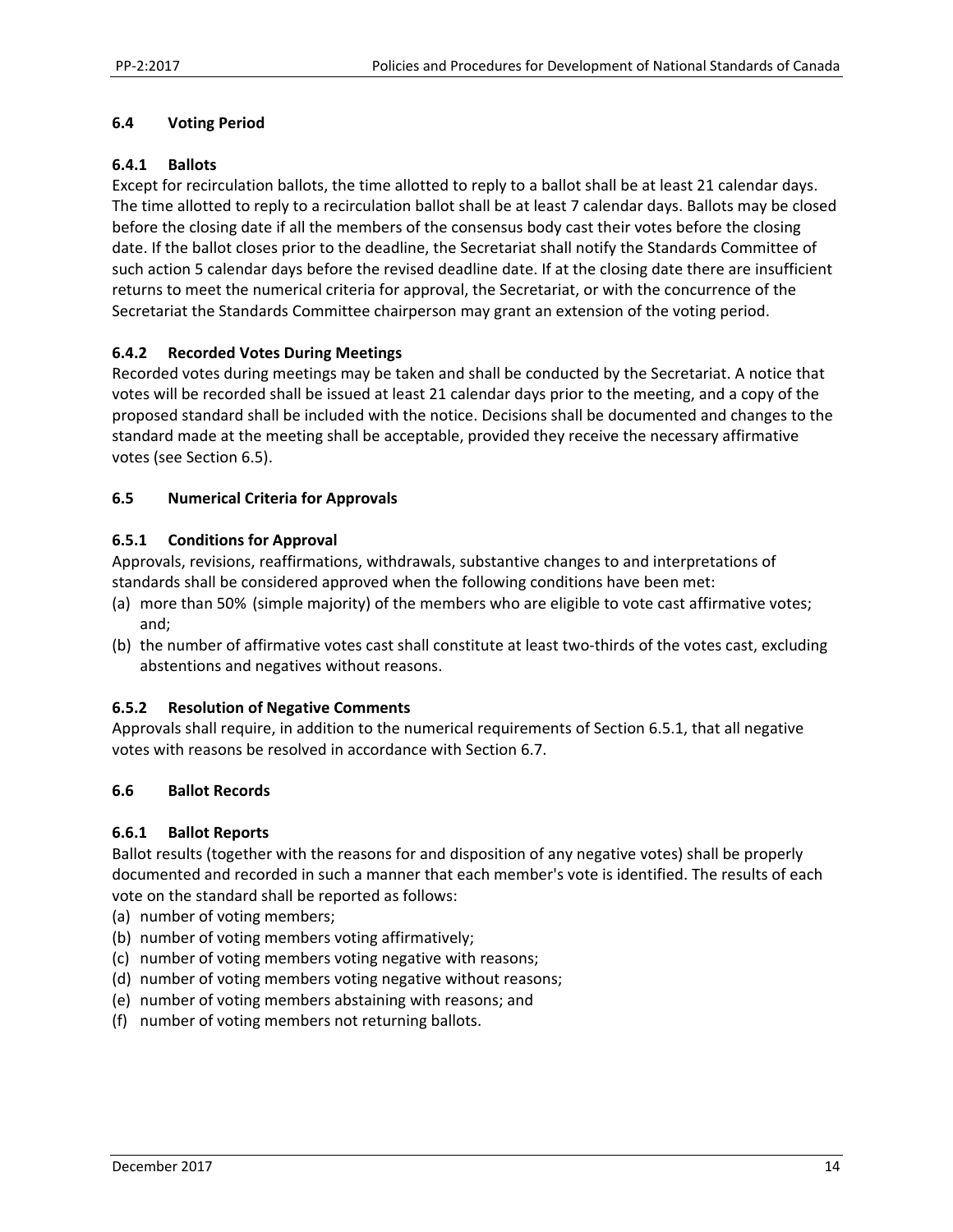#### **6.4 Voting Period**

#### **6.4.1 Ballots**

Except for recirculation ballots, the time allotted to reply to a ballot shall be at least 21 calendar days. The time allotted to reply to a recirculation ballot shall be at least 7 calendar days. Ballots may be closed before the closing date if all the members of the consensus body cast their votes before the closing date. If the ballot closes prior to the deadline, the Secretariat shall notify the Standards Committee of such action 5 calendar days before the revised deadline date. If at the closing date there are insufficient returns to meet the numerical criteria for approval, the Secretariat, or with the concurrence of the Secretariat the Standards Committee chairperson may grant an extension of the voting period.

#### **6.4.2 Recorded Votes During Meetings**

Recorded votes during meetings may be taken and shall be conducted by the Secretariat. A notice that votes will be recorded shall be issued at least 21 calendar days prior to the meeting, and a copy of the proposed standard shall be included with the notice. Decisions shall be documented and changes to the standard made at the meeting shall be acceptable, provided they receive the necessary affirmative votes (see Section 6.5).

#### **6.5 Numerical Criteria for Approvals**

#### **6.5.1 Conditions for Approval**

Approvals, revisions, reaffirmations, withdrawals, substantive changes to and interpretations of standards shall be considered approved when the following conditions have been met:

- (a) more than 50% (simple majority) of the members who are eligible to vote cast affirmative votes; and;
- (b) the number of affirmative votes cast shall constitute at least two-thirds of the votes cast, excluding abstentions and negatives without reasons.

#### **6.5.2 Resolution of Negative Comments**

Approvals shall require, in addition to the numerical requirements of Section 6.5.1, that all negative votes with reasons be resolved in accordance with Section 6.7.

#### **6.6 Ballot Records**

#### **6.6.1 Ballot Reports**

Ballot results (together with the reasons for and disposition of any negative votes) shall be properly documented and recorded in such a manner that each member's vote is identified. The results of each vote on the standard shall be reported as follows:

- (a) number of voting members;
- (b) number of voting members voting affirmatively;
- (c) number of voting members voting negative with reasons;
- (d) number of voting members voting negative without reasons;
- (e) number of voting members abstaining with reasons; and
- (f) number of voting members not returning ballots.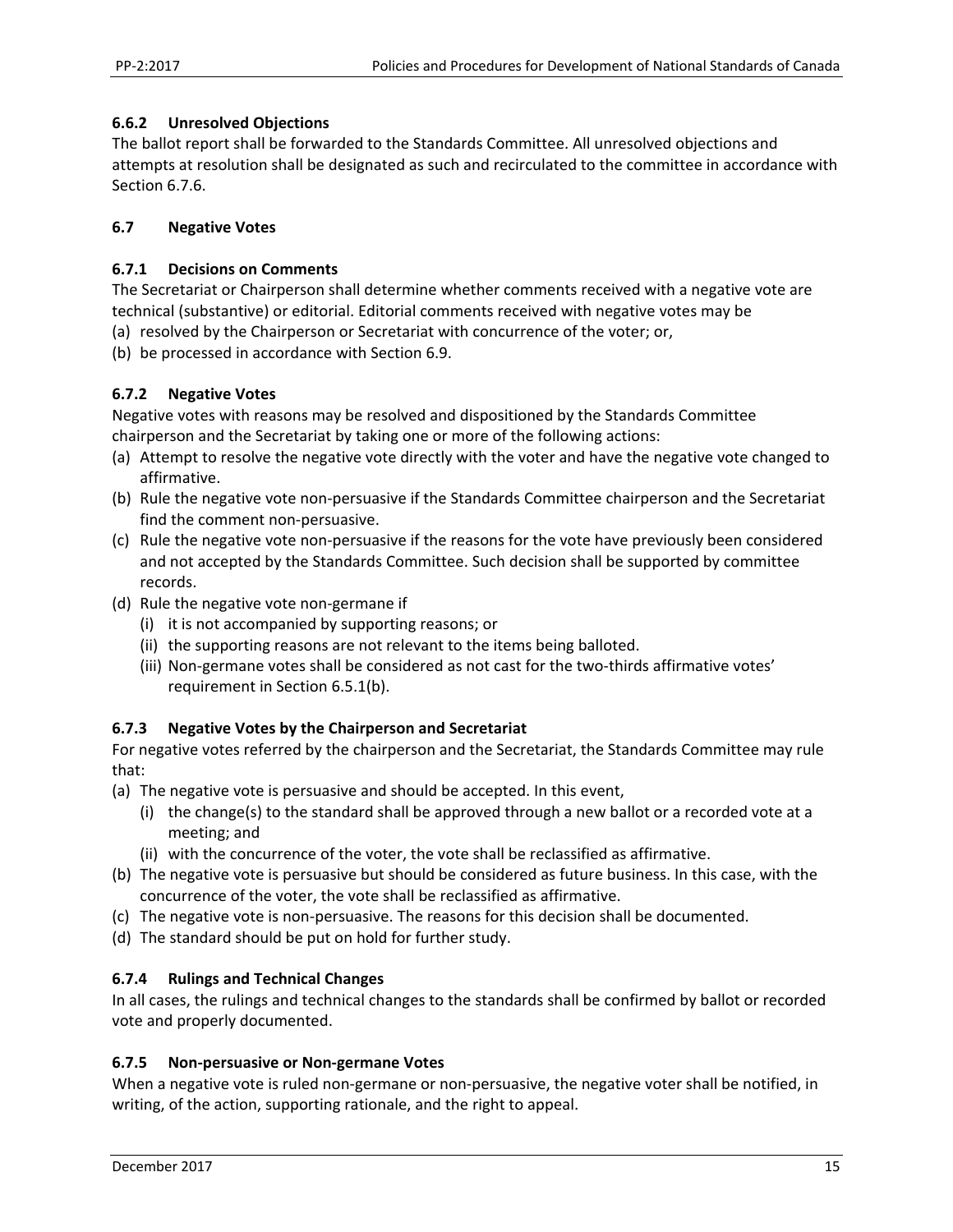#### **6.6.2 Unresolved Objections**

The ballot report shall be forwarded to the Standards Committee. All unresolved objections and attempts at resolution shall be designated as such and recirculated to the committee in accordance with Section 6.7.6.

#### **6.7 Negative Votes**

#### **6.7.1 Decisions on Comments**

The Secretariat or Chairperson shall determine whether comments received with a negative vote are technical (substantive) or editorial. Editorial comments received with negative votes may be

- (a) resolved by the Chairperson or Secretariat with concurrence of the voter; or,
- (b) be processed in accordance with Section 6.9.

#### **6.7.2 Negative Votes**

Negative votes with reasons may be resolved and dispositioned by the Standards Committee chairperson and the Secretariat by taking one or more of the following actions:

- (a) Attempt to resolve the negative vote directly with the voter and have the negative vote changed to affirmative.
- (b) Rule the negative vote non‐persuasive if the Standards Committee chairperson and the Secretariat find the comment non‐persuasive.
- (c) Rule the negative vote non‐persuasive if the reasons for the vote have previously been considered and not accepted by the Standards Committee. Such decision shall be supported by committee records.
- (d) Rule the negative vote non‐germane if
	- (i) it is not accompanied by supporting reasons; or
	- (ii) the supporting reasons are not relevant to the items being balloted.
	- (iii) Non-germane votes shall be considered as not cast for the two-thirds affirmative votes' requirement in Section 6.5.1(b).

# **6.7.3 Negative Votes by the Chairperson and Secretariat**

For negative votes referred by the chairperson and the Secretariat, the Standards Committee may rule that:

- (a) The negative vote is persuasive and should be accepted. In this event,
	- (i) the change(s) to the standard shall be approved through a new ballot or a recorded vote at a meeting; and
	- (ii) with the concurrence of the voter, the vote shall be reclassified as affirmative.
- (b) The negative vote is persuasive but should be considered as future business. In this case, with the concurrence of the voter, the vote shall be reclassified as affirmative.
- (c) The negative vote is non‐persuasive. The reasons for this decision shall be documented.
- (d) The standard should be put on hold for further study.

#### **6.7.4 Rulings and Technical Changes**

In all cases, the rulings and technical changes to the standards shall be confirmed by ballot or recorded vote and properly documented.

#### **6.7.5 Non‐persuasive or Non‐germane Votes**

When a negative vote is ruled non-germane or non-persuasive, the negative voter shall be notified, in writing, of the action, supporting rationale, and the right to appeal.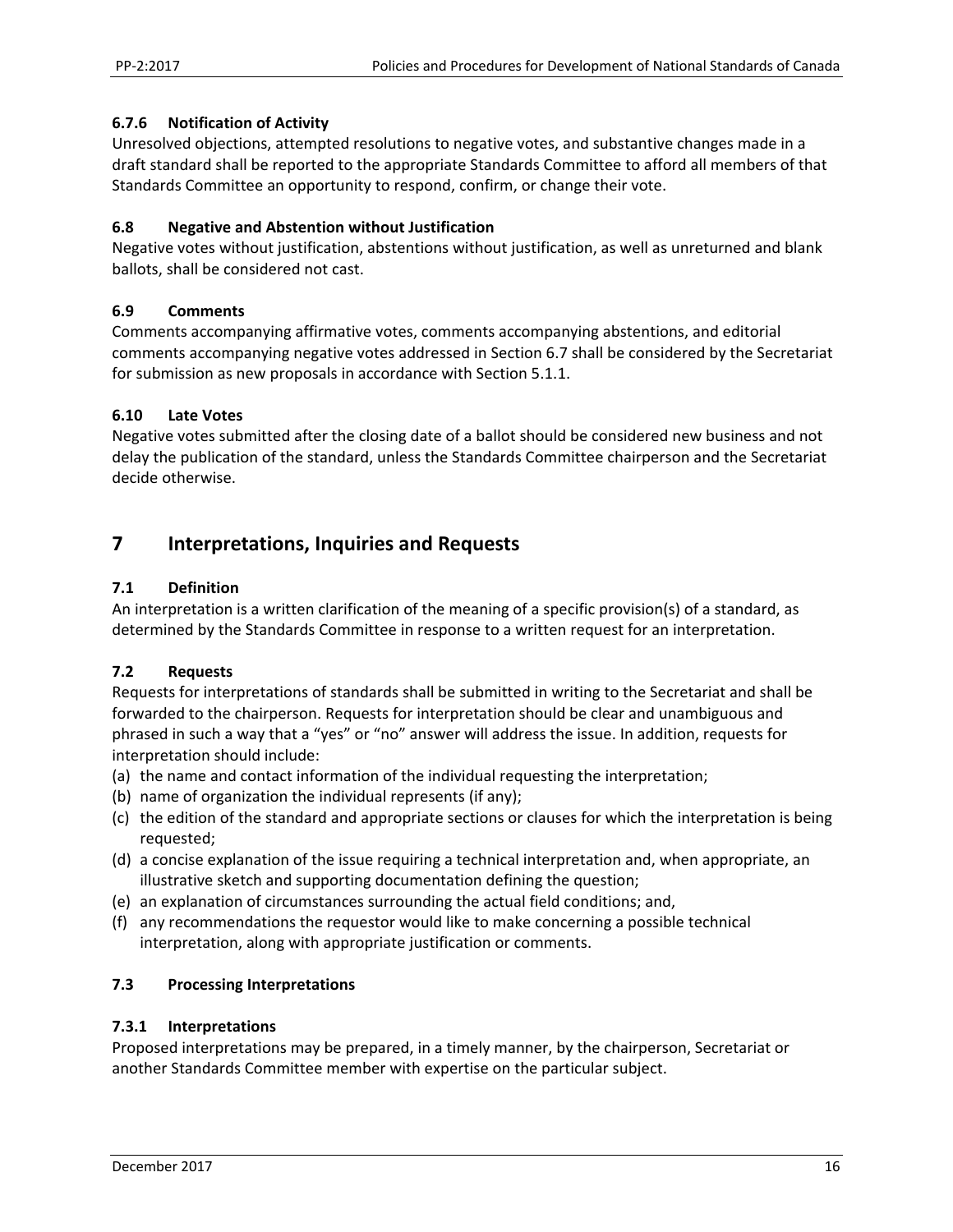#### **6.7.6 Notification of Activity**

Unresolved objections, attempted resolutions to negative votes, and substantive changes made in a draft standard shall be reported to the appropriate Standards Committee to afford all members of that Standards Committee an opportunity to respond, confirm, or change their vote.

#### **6.8 Negative and Abstention without Justification**

Negative votes without justification, abstentions without justification, as well as unreturned and blank ballots, shall be considered not cast.

#### **6.9 Comments**

Comments accompanying affirmative votes, comments accompanying abstentions, and editorial comments accompanying negative votes addressed in Section 6.7 shall be considered by the Secretariat for submission as new proposals in accordance with Section 5.1.1.

#### **6.10 Late Votes**

Negative votes submitted after the closing date of a ballot should be considered new business and not delay the publication of the standard, unless the Standards Committee chairperson and the Secretariat decide otherwise.

# **7 Interpretations, Inquiries and Requests**

#### **7.1 Definition**

An interpretation is a written clarification of the meaning of a specific provision(s) of a standard, as determined by the Standards Committee in response to a written request for an interpretation.

# **7.2 Requests**

Requests for interpretations of standards shall be submitted in writing to the Secretariat and shall be forwarded to the chairperson. Requests for interpretation should be clear and unambiguous and phrased in such a way that a "yes" or "no" answer will address the issue. In addition, requests for interpretation should include:

- (a) the name and contact information of the individual requesting the interpretation;
- (b) name of organization the individual represents (if any);
- (c) the edition of the standard and appropriate sections or clauses for which the interpretation is being requested;
- (d) a concise explanation of the issue requiring a technical interpretation and, when appropriate, an illustrative sketch and supporting documentation defining the question;
- (e) an explanation of circumstances surrounding the actual field conditions; and,
- (f) any recommendations the requestor would like to make concerning a possible technical interpretation, along with appropriate justification or comments.

# **7.3 Processing Interpretations**

#### **7.3.1 Interpretations**

Proposed interpretations may be prepared, in a timely manner, by the chairperson, Secretariat or another Standards Committee member with expertise on the particular subject.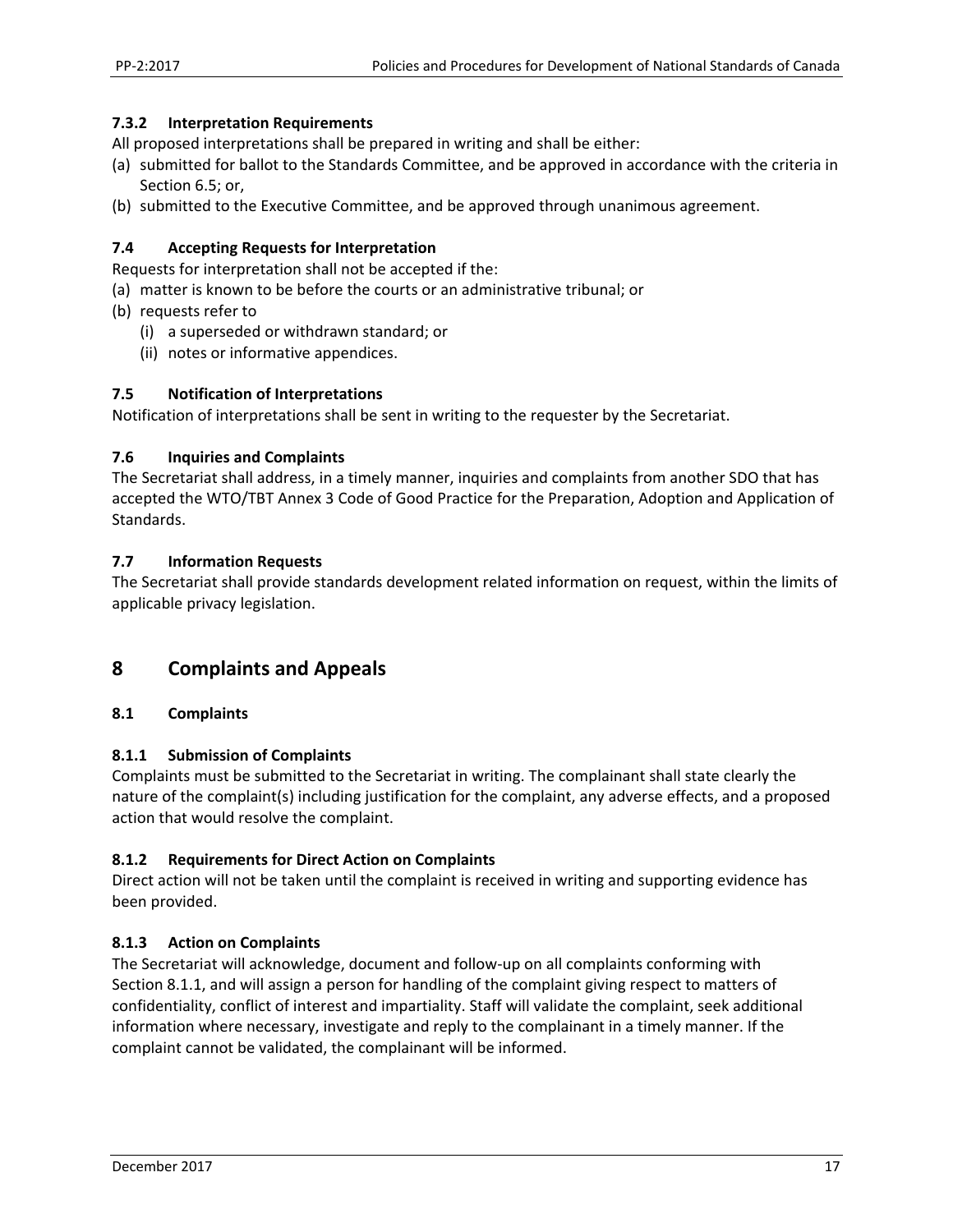#### **7.3.2 Interpretation Requirements**

All proposed interpretations shall be prepared in writing and shall be either:

- (a) submitted for ballot to the Standards Committee, and be approved in accordance with the criteria in Section 6.5; or,
- (b) submitted to the Executive Committee, and be approved through unanimous agreement.

#### **7.4 Accepting Requests for Interpretation**

Requests for interpretation shall not be accepted if the:

- (a) matter is known to be before the courts or an administrative tribunal; or
- (b) requests refer to
	- (i) a superseded or withdrawn standard; or
	- (ii) notes or informative appendices.

#### **7.5 Notification of Interpretations**

Notification of interpretations shall be sent in writing to the requester by the Secretariat.

#### **7.6 Inquiries and Complaints**

The Secretariat shall address, in a timely manner, inquiries and complaints from another SDO that has accepted the WTO/TBT Annex 3 Code of Good Practice for the Preparation, Adoption and Application of Standards.

#### **7.7 Information Requests**

The Secretariat shall provide standards development related information on request, within the limits of applicable privacy legislation.

# **8 Complaints and Appeals**

#### **8.1 Complaints**

#### **8.1.1 Submission of Complaints**

Complaints must be submitted to the Secretariat in writing. The complainant shall state clearly the nature of the complaint(s) including justification for the complaint, any adverse effects, and a proposed action that would resolve the complaint.

#### **8.1.2 Requirements for Direct Action on Complaints**

Direct action will not be taken until the complaint is received in writing and supporting evidence has been provided.

#### **8.1.3 Action on Complaints**

The Secretariat will acknowledge, document and follow‐up on all complaints conforming with Section 8.1.1, and will assign a person for handling of the complaint giving respect to matters of confidentiality, conflict of interest and impartiality. Staff will validate the complaint, seek additional information where necessary, investigate and reply to the complainant in a timely manner. If the complaint cannot be validated, the complainant will be informed.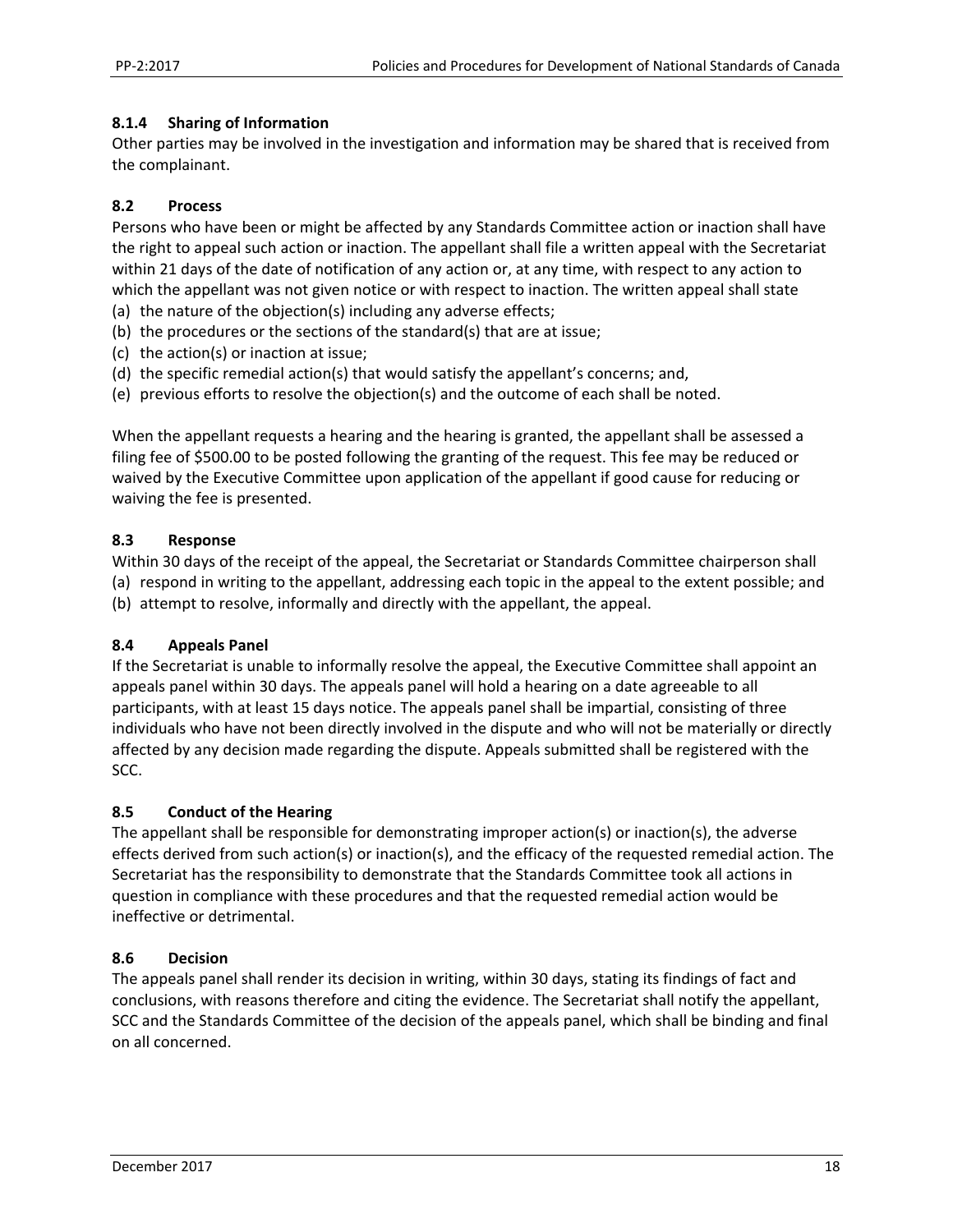#### **8.1.4 Sharing of Information**

Other parties may be involved in the investigation and information may be shared that is received from the complainant.

#### **8.2 Process**

Persons who have been or might be affected by any Standards Committee action or inaction shall have the right to appeal such action or inaction. The appellant shall file a written appeal with the Secretariat within 21 days of the date of notification of any action or, at any time, with respect to any action to which the appellant was not given notice or with respect to inaction. The written appeal shall state

- (a) the nature of the objection(s) including any adverse effects;
- (b) the procedures or the sections of the standard(s) that are at issue;
- (c) the action(s) or inaction at issue;
- (d) the specific remedial action(s) that would satisfy the appellant's concerns; and,
- (e) previous efforts to resolve the objection(s) and the outcome of each shall be noted.

When the appellant requests a hearing and the hearing is granted, the appellant shall be assessed a filing fee of \$500.00 to be posted following the granting of the request. This fee may be reduced or waived by the Executive Committee upon application of the appellant if good cause for reducing or waiving the fee is presented.

#### **8.3 Response**

Within 30 days of the receipt of the appeal, the Secretariat or Standards Committee chairperson shall (a) respond in writing to the appellant, addressing each topic in the appeal to the extent possible; and (b) attempt to resolve, informally and directly with the appellant, the appeal.

#### **8.4 Appeals Panel**

If the Secretariat is unable to informally resolve the appeal, the Executive Committee shall appoint an appeals panel within 30 days. The appeals panel will hold a hearing on a date agreeable to all participants, with at least 15 days notice. The appeals panel shall be impartial, consisting of three individuals who have not been directly involved in the dispute and who will not be materially or directly affected by any decision made regarding the dispute. Appeals submitted shall be registered with the SCC.

#### **8.5 Conduct of the Hearing**

The appellant shall be responsible for demonstrating improper action(s) or inaction(s), the adverse effects derived from such action(s) or inaction(s), and the efficacy of the requested remedial action. The Secretariat has the responsibility to demonstrate that the Standards Committee took all actions in question in compliance with these procedures and that the requested remedial action would be ineffective or detrimental.

#### **8.6 Decision**

The appeals panel shall render its decision in writing, within 30 days, stating its findings of fact and conclusions, with reasons therefore and citing the evidence. The Secretariat shall notify the appellant, SCC and the Standards Committee of the decision of the appeals panel, which shall be binding and final on all concerned.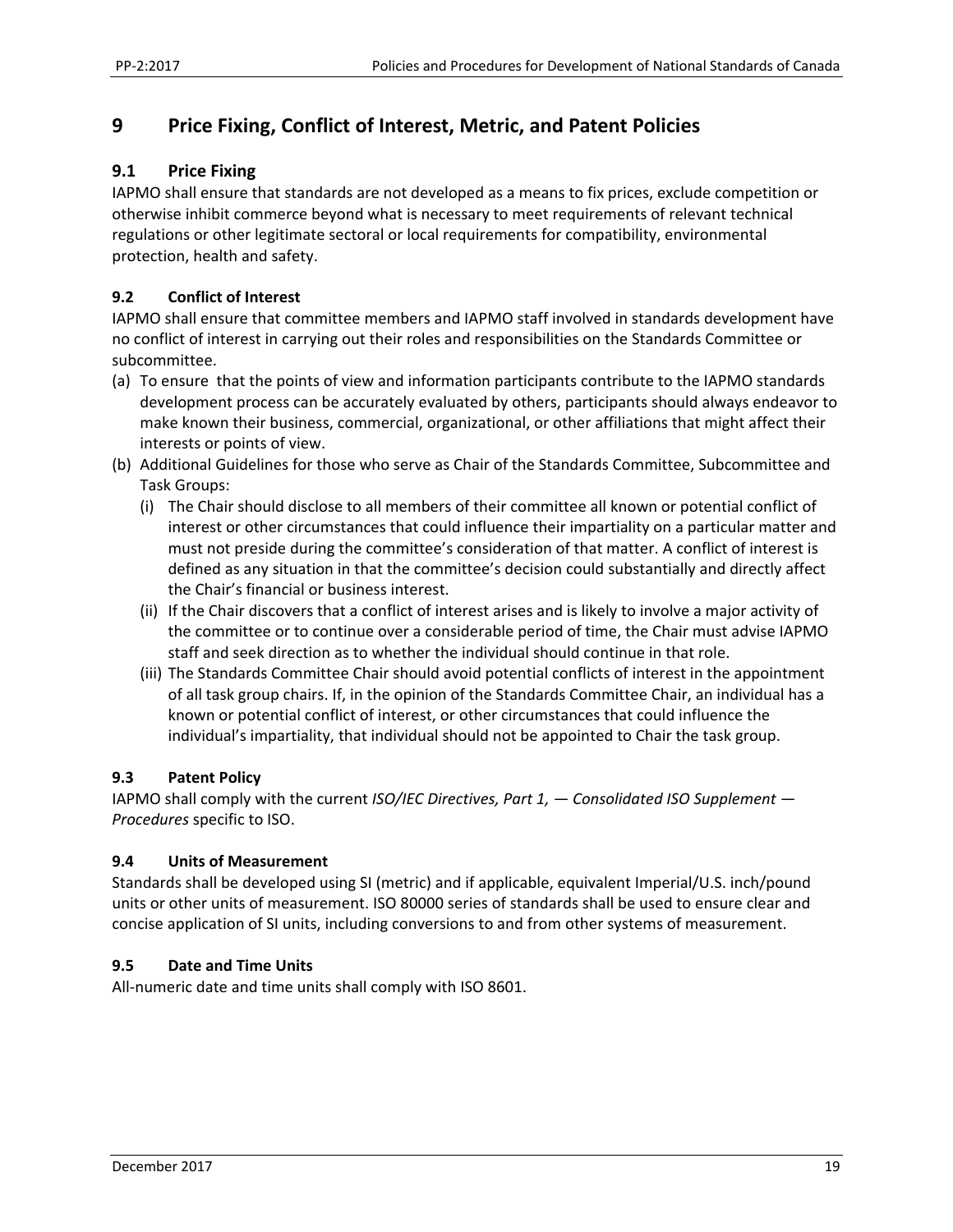# **9 Price Fixing, Conflict of Interest, Metric, and Patent Policies**

# **9.1 Price Fixing**

IAPMO shall ensure that standards are not developed as a means to fix prices, exclude competition or otherwise inhibit commerce beyond what is necessary to meet requirements of relevant technical regulations or other legitimate sectoral or local requirements for compatibility, environmental protection, health and safety.

# **9.2 Conflict of Interest**

IAPMO shall ensure that committee members and IAPMO staff involved in standards development have no conflict of interest in carrying out their roles and responsibilities on the Standards Committee or subcommittee.

- (a) To ensure that the points of view and information participants contribute to the IAPMO standards development process can be accurately evaluated by others, participants should always endeavor to make known their business, commercial, organizational, or other affiliations that might affect their interests or points of view.
- (b) Additional Guidelines for those who serve as Chair of the Standards Committee, Subcommittee and Task Groups:
	- (i) The Chair should disclose to all members of their committee all known or potential conflict of interest or other circumstances that could influence their impartiality on a particular matter and must not preside during the committee's consideration of that matter. A conflict of interest is defined as any situation in that the committee's decision could substantially and directly affect the Chair's financial or business interest.
	- (ii) If the Chair discovers that a conflict of interest arises and is likely to involve a major activity of the committee or to continue over a considerable period of time, the Chair must advise IAPMO staff and seek direction as to whether the individual should continue in that role.
	- (iii) The Standards Committee Chair should avoid potential conflicts of interest in the appointment of all task group chairs. If, in the opinion of the Standards Committee Chair, an individual has a known or potential conflict of interest, or other circumstances that could influence the individual's impartiality, that individual should not be appointed to Chair the task group.

#### **9.3 Patent Policy**

IAPMO shall comply with the current *ISO/IEC Directives, Part 1, — Consolidated ISO Supplement — Procedures* specific to ISO.

#### **9.4 Units of Measurement**

Standards shall be developed using SI (metric) and if applicable, equivalent Imperial/U.S. inch/pound units or other units of measurement. ISO 80000 series of standards shall be used to ensure clear and concise application of SI units, including conversions to and from other systems of measurement.

#### **9.5 Date and Time Units**

All‐numeric date and time units shall comply with ISO 8601.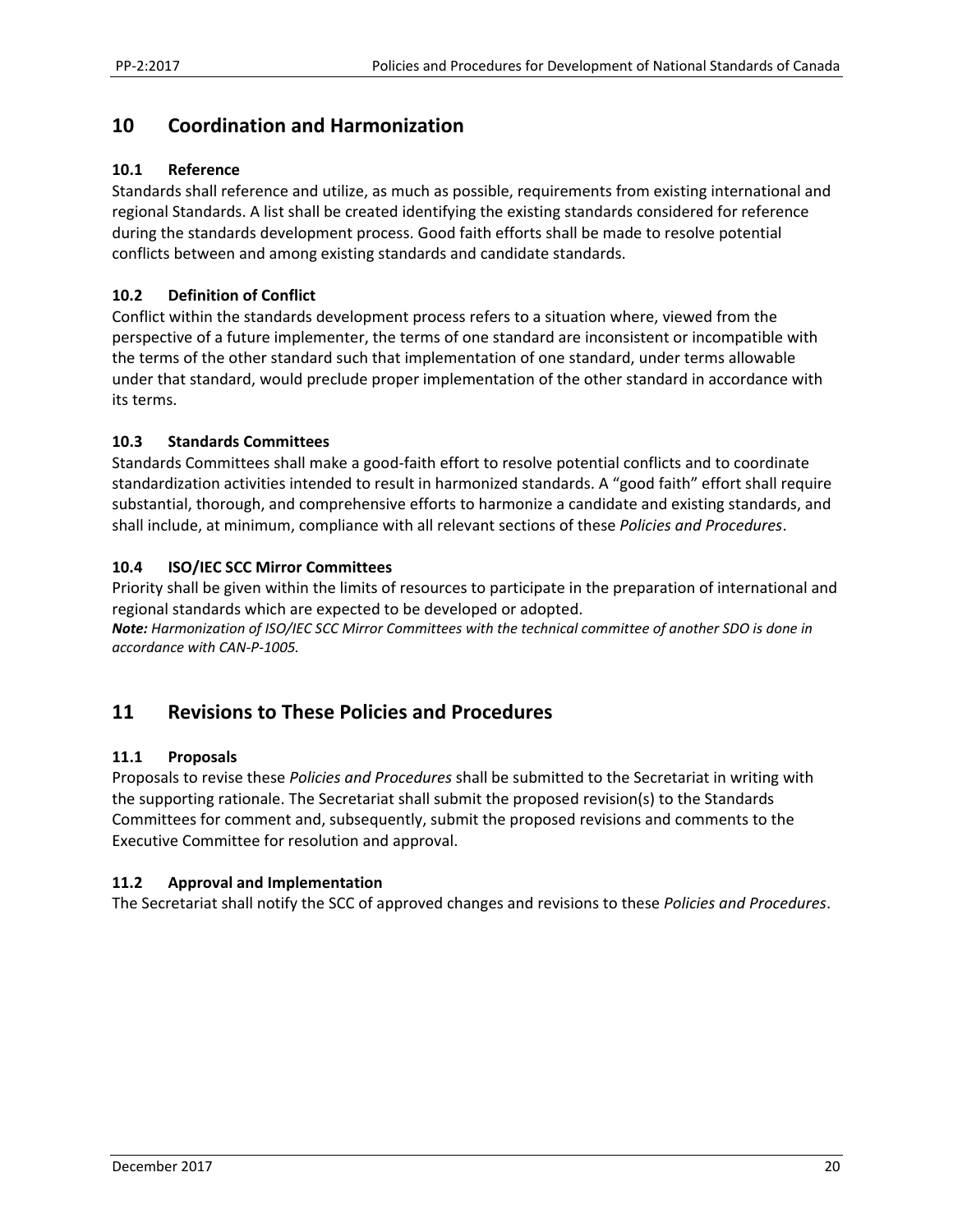# **10 Coordination and Harmonization**

#### **10.1 Reference**

Standards shall reference and utilize, as much as possible, requirements from existing international and regional Standards. A list shall be created identifying the existing standards considered for reference during the standards development process. Good faith efforts shall be made to resolve potential conflicts between and among existing standards and candidate standards.

### **10.2 Definition of Conflict**

Conflict within the standards development process refers to a situation where, viewed from the perspective of a future implementer, the terms of one standard are inconsistent or incompatible with the terms of the other standard such that implementation of one standard, under terms allowable under that standard, would preclude proper implementation of the other standard in accordance with its terms.

#### **10.3 Standards Committees**

Standards Committees shall make a good‐faith effort to resolve potential conflicts and to coordinate standardization activities intended to result in harmonized standards. A "good faith" effort shall require substantial, thorough, and comprehensive efforts to harmonize a candidate and existing standards, and shall include, at minimum, compliance with all relevant sections of these *Policies and Procedures*.

#### **10.4 ISO/IEC SCC Mirror Committees**

Priority shall be given within the limits of resources to participate in the preparation of international and regional standards which are expected to be developed or adopted.

*Note: Harmonization of ISO/IEC SCC Mirror Committees with the technical committee of another SDO is done in accordance with CAN‐P‐1005.*

# **11 Revisions to These Policies and Procedures**

#### **11.1 Proposals**

Proposals to revise these *Policies and Procedures* shall be submitted to the Secretariat in writing with the supporting rationale. The Secretariat shall submit the proposed revision(s) to the Standards Committees for comment and, subsequently, submit the proposed revisions and comments to the Executive Committee for resolution and approval.

# **11.2 Approval and Implementation**

The Secretariat shall notify the SCC of approved changes and revisions to these *Policies and Procedures*.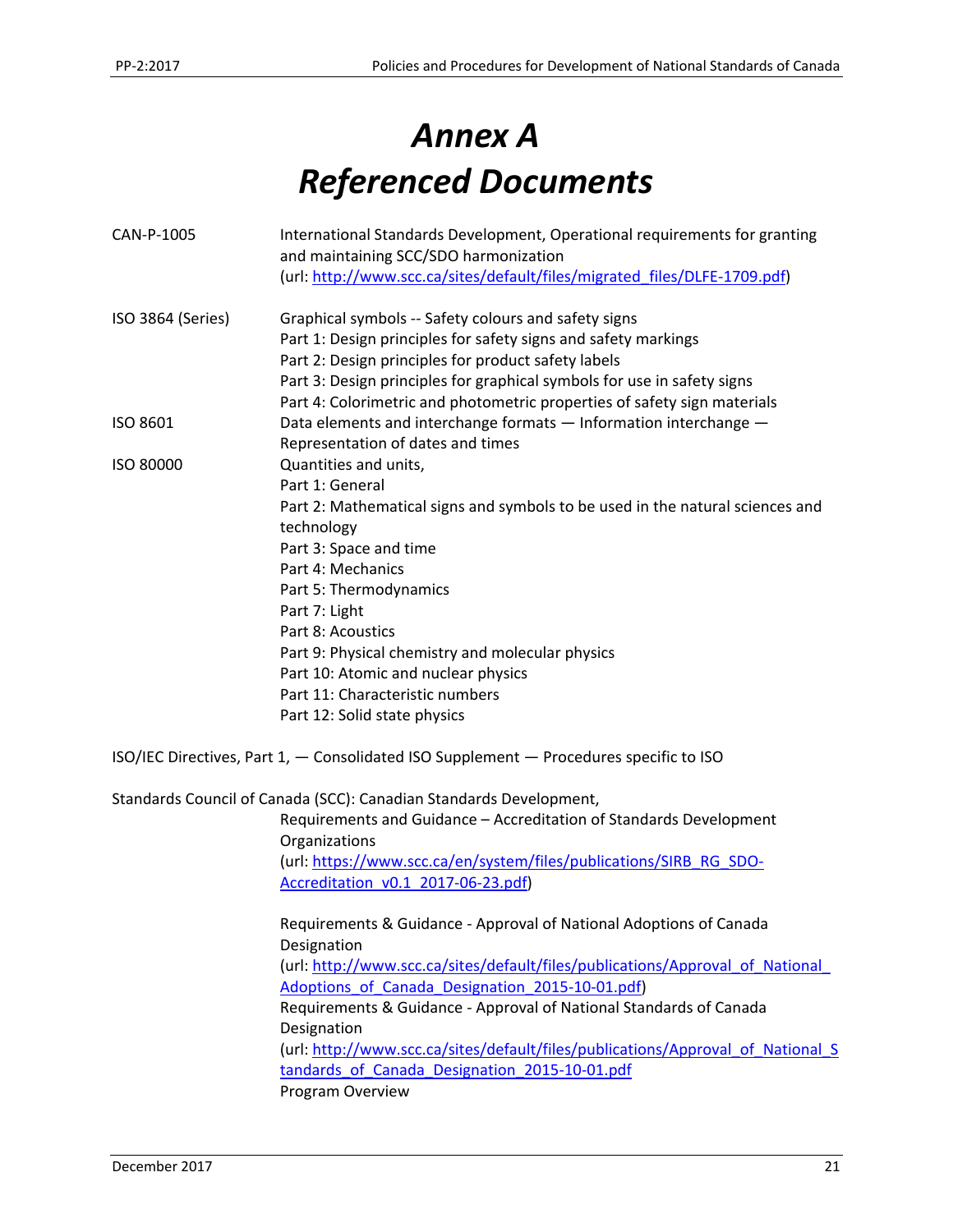# *Annex A Referenced Documents*

| CAN-P-1005        | International Standards Development, Operational requirements for granting<br>and maintaining SCC/SDO harmonization |
|-------------------|---------------------------------------------------------------------------------------------------------------------|
|                   | (url: http://www.scc.ca/sites/default/files/migrated files/DLFE-1709.pdf)                                           |
| ISO 3864 (Series) | Graphical symbols -- Safety colours and safety signs                                                                |
|                   | Part 1: Design principles for safety signs and safety markings                                                      |
|                   | Part 2: Design principles for product safety labels                                                                 |
|                   | Part 3: Design principles for graphical symbols for use in safety signs                                             |
|                   | Part 4: Colorimetric and photometric properties of safety sign materials                                            |
| ISO 8601          | Data elements and interchange formats - Information interchange -                                                   |
|                   | Representation of dates and times                                                                                   |
| ISO 80000         | Quantities and units,                                                                                               |
|                   | Part 1: General                                                                                                     |
|                   | Part 2: Mathematical signs and symbols to be used in the natural sciences and                                       |
|                   | technology                                                                                                          |
|                   | Part 3: Space and time                                                                                              |
|                   | Part 4: Mechanics                                                                                                   |
|                   | Part 5: Thermodynamics                                                                                              |
|                   | Part 7: Light                                                                                                       |
|                   | Part 8: Acoustics                                                                                                   |
|                   | Part 9: Physical chemistry and molecular physics                                                                    |
|                   | Part 10: Atomic and nuclear physics                                                                                 |
|                   | Part 11: Characteristic numbers                                                                                     |
|                   | Part 12: Solid state physics                                                                                        |
|                   | ISO/IEC Directives, Part 1, - Consolidated ISO Supplement - Procedures specific to ISO                              |
|                   | Standards Council of Canada (SCC): Canadian Standards Development,                                                  |
|                   | Requirements and Guidance - Accreditation of Standards Development<br>Organizations                                 |
|                   | (url: https://www.scc.ca/en/system/files/publications/SIRB_RG_SDO-                                                  |
|                   | Accreditation v0.1 2017-06-23.pdf)                                                                                  |
|                   | Requirements & Guidance - Approval of National Adoptions of Canada                                                  |
|                   | Designation                                                                                                         |
|                   | (url: http://www.scc.ca/sites/default/files/publications/Approval_of_National_                                      |
|                   | Adoptions of Canada Designation 2015-10-01.pdf)                                                                     |
|                   | Requirements & Guidance - Approval of National Standards of Canada                                                  |
|                   | Designation                                                                                                         |
|                   | (url: http://www.scc.ca/sites/default/files/publications/Approval_of_National_S                                     |
|                   | tandards of Canada Designation 2015-10-01.pdf                                                                       |
|                   | Program Overview                                                                                                    |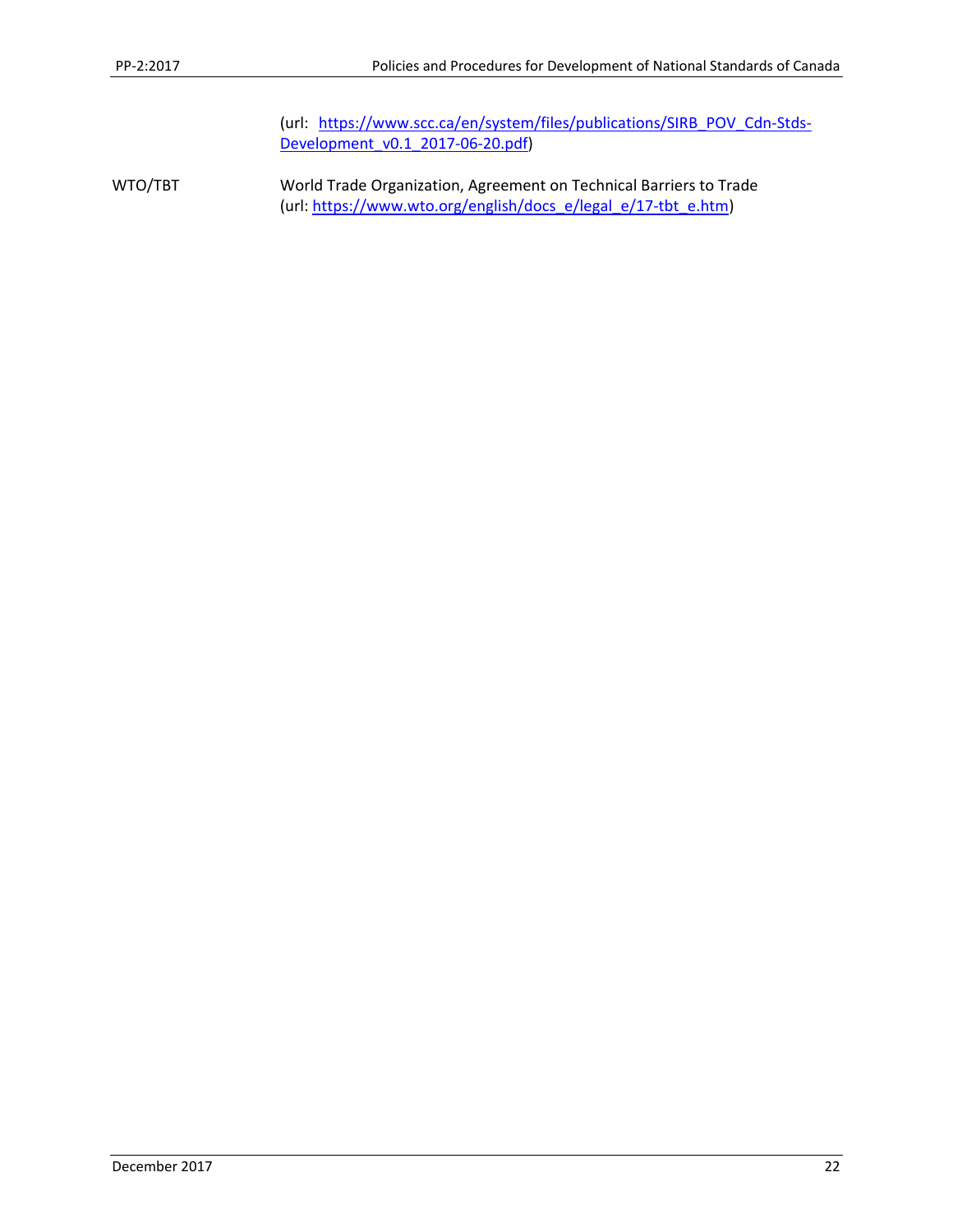(url: https://www.scc.ca/en/system/files/publications/SIRB\_POV\_Cdn-Stds-Development\_v0.1\_2017-06-20.pdf)

WTO/TBT World Trade Organization, Agreement on Technical Barriers to Trade (url: https://www.wto.org/english/docs\_e/legal\_e/17‐tbt\_e.htm)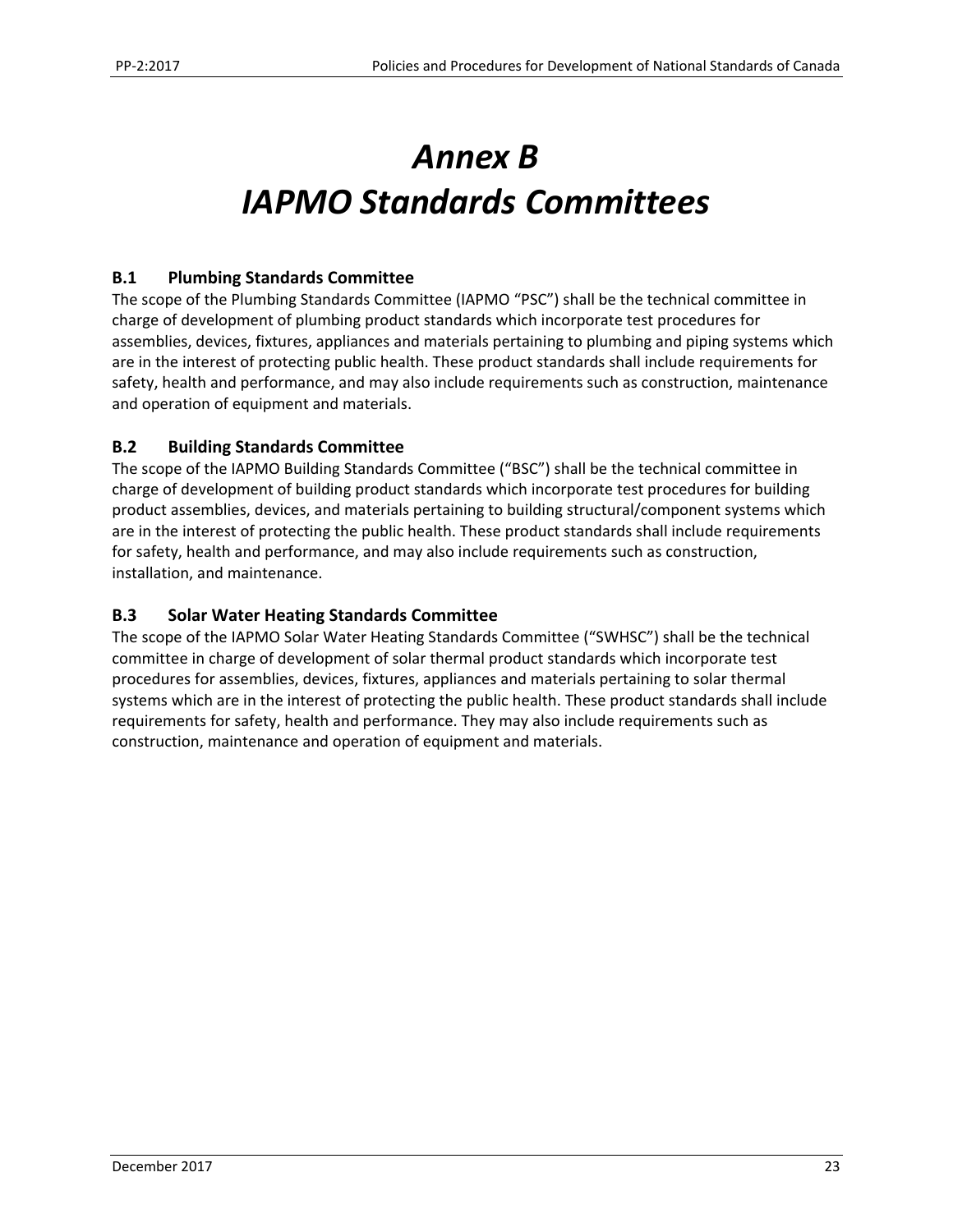# *Annex B IAPMO Standards Committees*

### **B.1 Plumbing Standards Committee**

The scope of the Plumbing Standards Committee (IAPMO "PSC") shall be the technical committee in charge of development of plumbing product standards which incorporate test procedures for assemblies, devices, fixtures, appliances and materials pertaining to plumbing and piping systems which are in the interest of protecting public health. These product standards shall include requirements for safety, health and performance, and may also include requirements such as construction, maintenance and operation of equipment and materials.

#### **B.2 Building Standards Committee**

The scope of the IAPMO Building Standards Committee ("BSC") shall be the technical committee in charge of development of building product standards which incorporate test procedures for building product assemblies, devices, and materials pertaining to building structural/component systems which are in the interest of protecting the public health. These product standards shall include requirements for safety, health and performance, and may also include requirements such as construction, installation, and maintenance.

#### **B.3 Solar Water Heating Standards Committee**

The scope of the IAPMO Solar Water Heating Standards Committee ("SWHSC") shall be the technical committee in charge of development of solar thermal product standards which incorporate test procedures for assemblies, devices, fixtures, appliances and materials pertaining to solar thermal systems which are in the interest of protecting the public health. These product standards shall include requirements for safety, health and performance. They may also include requirements such as construction, maintenance and operation of equipment and materials.